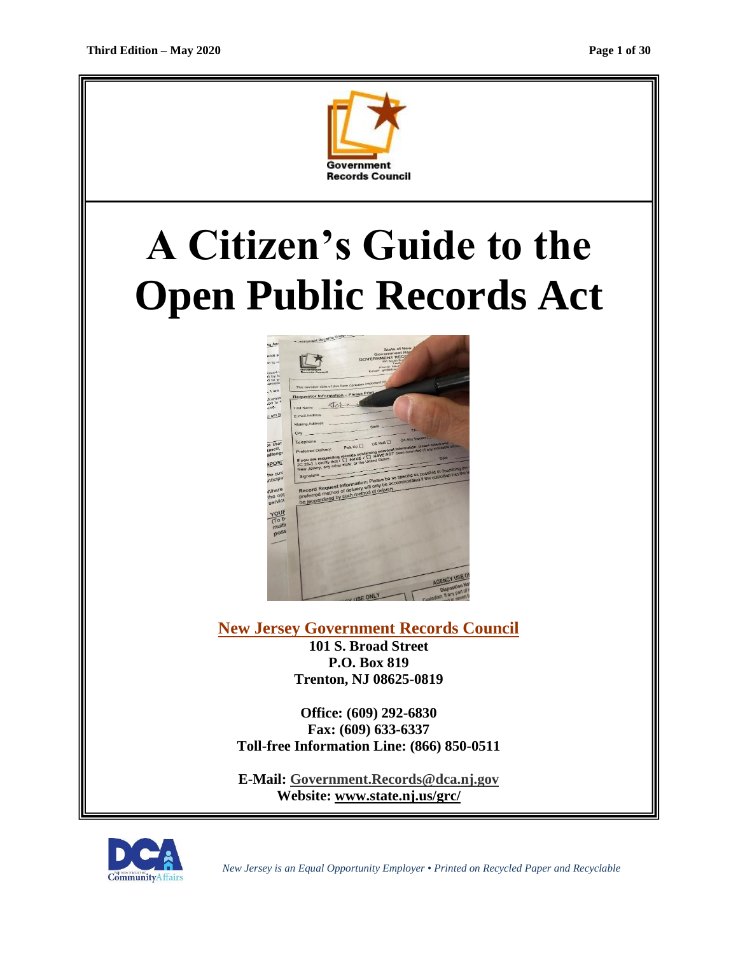

# **A Citizen's Guide to the Open Public Records Act**



**New Jersey Government Records Council 101 S. Broad Street P.O. Box 819 Trenton, NJ 08625-0819**

**Office: (609) 292-6830 Fax: (609) 633-6337 Toll-free Information Line: (866) 850-0511**

**E-Mail: [Government.Records@dca.nj.gov](mailto:Government.Records@dca.nj.gov) Website: www.state.nj.us/grc/**



 *New Jersey is an Equal Opportunity Employer* • *Printed on Recycled Paper and Recyclable*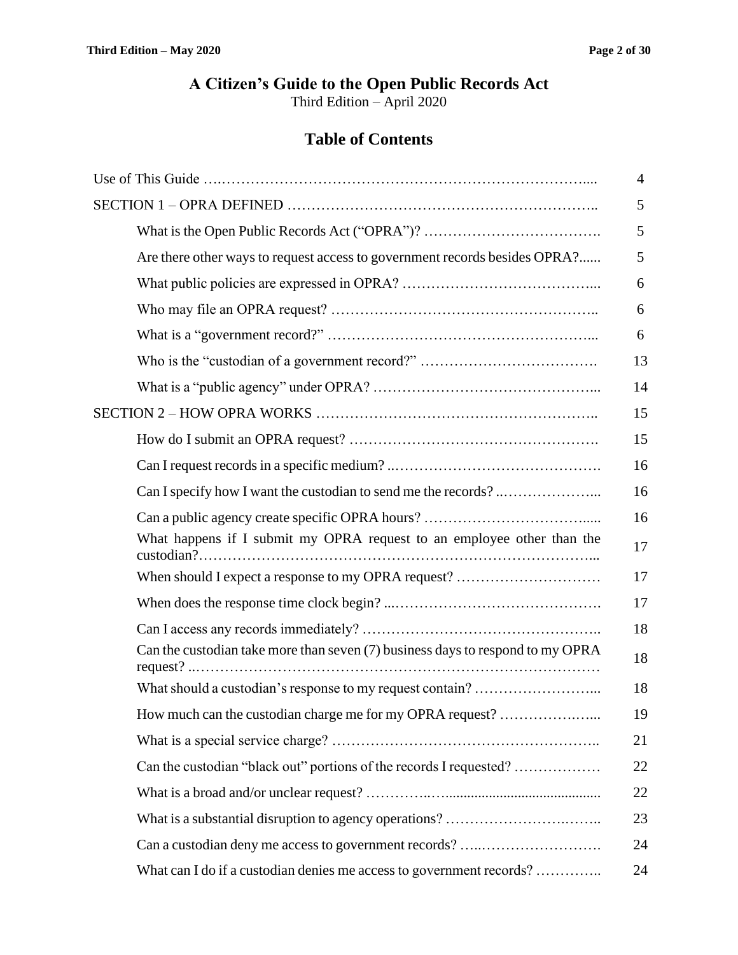# **A Citizen's Guide to the Open Public Records Act**

Third Edition – April 2020

# **Table of Contents**

|                                                                                | 4  |
|--------------------------------------------------------------------------------|----|
|                                                                                | 5  |
|                                                                                | 5  |
| Are there other ways to request access to government records besides OPRA?     | 5  |
|                                                                                | 6  |
|                                                                                | 6  |
|                                                                                | 6  |
|                                                                                | 13 |
|                                                                                | 14 |
|                                                                                | 15 |
|                                                                                | 15 |
|                                                                                | 16 |
|                                                                                | 16 |
|                                                                                | 16 |
| What happens if I submit my OPRA request to an employee other than the         | 17 |
| When should I expect a response to my OPRA request?                            | 17 |
|                                                                                | 17 |
|                                                                                | 18 |
| Can the custodian take more than seven (7) business days to respond to my OPRA | 18 |
|                                                                                | 18 |
| How much can the custodian charge me for my OPRA request?                      | 19 |
|                                                                                | 21 |
| Can the custodian "black out" portions of the records I requested?             | 22 |
|                                                                                | 22 |
|                                                                                | 23 |
|                                                                                | 24 |
| What can I do if a custodian denies me access to government records?           | 24 |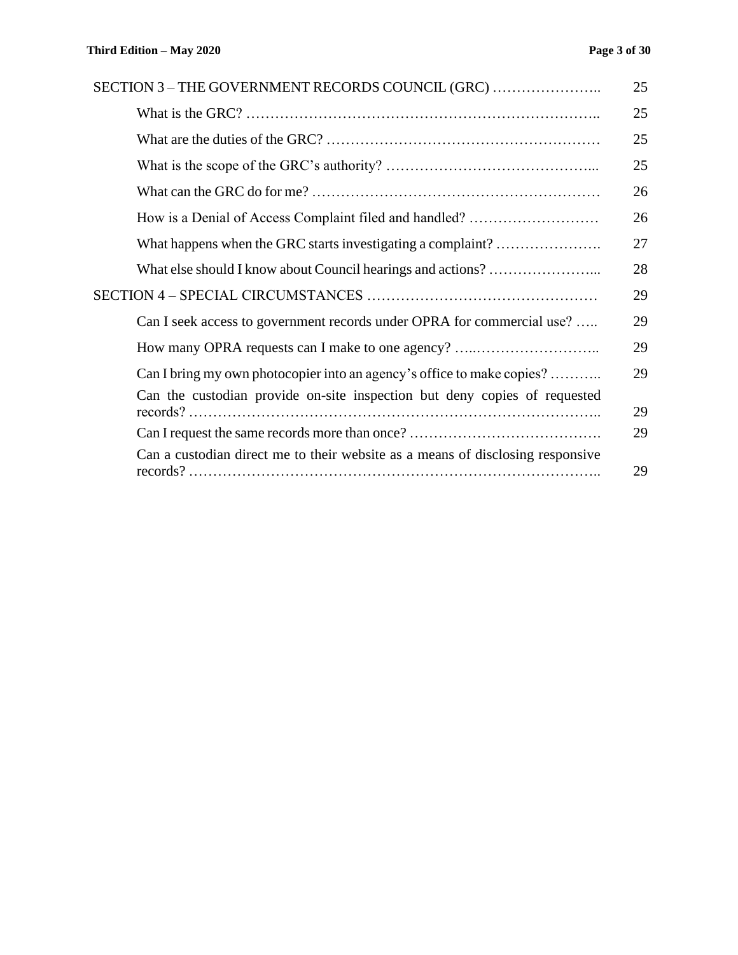| SECTION 3 - THE GOVERNMENT RECORDS COUNCIL (GRC)                               | 25 |
|--------------------------------------------------------------------------------|----|
|                                                                                | 25 |
|                                                                                | 25 |
|                                                                                | 25 |
|                                                                                | 26 |
| How is a Denial of Access Complaint filed and handled?                         | 26 |
| What happens when the GRC starts investigating a complaint?                    | 27 |
|                                                                                | 28 |
|                                                                                | 29 |
| Can I seek access to government records under OPRA for commercial use?         | 29 |
| How many OPRA requests can I make to one agency?                               | 29 |
| Can I bring my own photocopier into an agency's office to make copies?         | 29 |
| Can the custodian provide on-site inspection but deny copies of requested      | 29 |
|                                                                                | 29 |
| Can a custodian direct me to their website as a means of disclosing responsive | 29 |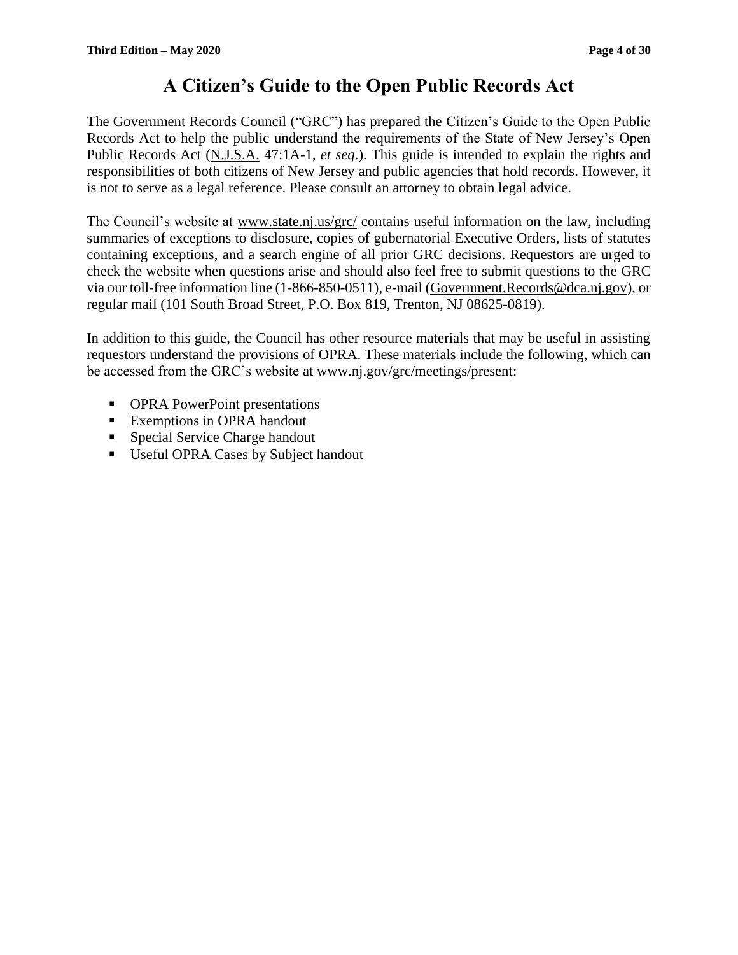# **A Citizen's Guide to the Open Public Records Act**

The Government Records Council ("GRC") has prepared the Citizen's Guide to the Open Public Records Act to help the public understand the requirements of the State of New Jersey's Open Public Records Act (N.J.S.A. 47:1A-1, *et seq*.). This guide is intended to explain the rights and responsibilities of both citizens of New Jersey and public agencies that hold records. However, it is not to serve as a legal reference. Please consult an attorney to obtain legal advice.

The Council's website at www.state.nj.us/grc/ contains useful information on the law, including summaries of exceptions to disclosure, copies of gubernatorial Executive Orders, lists of statutes containing exceptions, and a search engine of all prior GRC decisions. Requestors are urged to check the website when questions arise and should also feel free to submit questions to the GRC via our toll-free information line (1-866-850-0511), e-mail (Government.Records@dca.nj.gov), or regular mail (101 South Broad Street, P.O. Box 819, Trenton, NJ 08625-0819).

In addition to this guide, the Council has other resource materials that may be useful in assisting requestors understand the provisions of OPRA. These materials include the following, which can be accessed from the GRC's website at www.nj.gov/grc/meetings/present:

- **OPRA PowerPoint presentations**
- Exemptions in OPRA handout
- Special Service Charge handout
- Useful OPRA Cases by Subject handout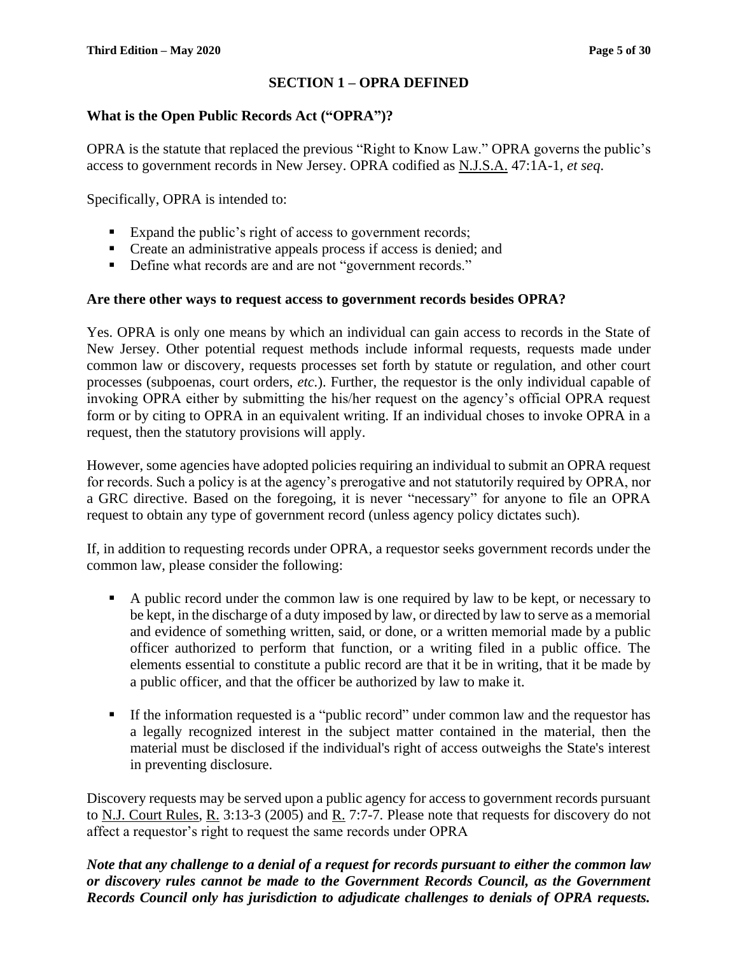# **SECTION 1 – OPRA DEFINED**

#### **What is the Open Public Records Act ("OPRA")?**

OPRA is the statute that replaced the previous "Right to Know Law." OPRA governs the public's access to government records in New Jersey. OPRA codified as N.J.S.A. 47:1A-1, *et seq*.

Specifically, OPRA is intended to:

- Expand the public's right of access to government records;
- Create an administrative appeals process if access is denied; and
- Define what records are and are not "government records."

#### **Are there other ways to request access to government records besides OPRA?**

Yes. OPRA is only one means by which an individual can gain access to records in the State of New Jersey. Other potential request methods include informal requests, requests made under common law or discovery, requests processes set forth by statute or regulation, and other court processes (subpoenas, court orders, *etc.*). Further, the requestor is the only individual capable of invoking OPRA either by submitting the his/her request on the agency's official OPRA request form or by citing to OPRA in an equivalent writing. If an individual choses to invoke OPRA in a request, then the statutory provisions will apply.

However, some agencies have adopted policies requiring an individual to submit an OPRA request for records. Such a policy is at the agency's prerogative and not statutorily required by OPRA, nor a GRC directive. Based on the foregoing, it is never "necessary" for anyone to file an OPRA request to obtain any type of government record (unless agency policy dictates such).

If, in addition to requesting records under OPRA, a requestor seeks government records under the common law, please consider the following:

- A public record under the common law is one required by law to be kept, or necessary to be kept, in the discharge of a duty imposed by law, or directed by law to serve as a memorial and evidence of something written, said, or done, or a written memorial made by a public officer authorized to perform that function, or a writing filed in a public office. The elements essential to constitute a public record are that it be in writing, that it be made by a public officer, and that the officer be authorized by law to make it.
- If the information requested is a "public record" under common law and the requestor has a legally recognized interest in the subject matter contained in the material, then the material must be disclosed if the individual's right of access outweighs the State's interest in preventing disclosure.

Discovery requests may be served upon a public agency for access to government records pursuant to N.J. Court Rules, R. 3:13-3 (2005) and R. 7:7-7. Please note that requests for discovery do not affect a requestor's right to request the same records under OPRA

*Note that any challenge to a denial of a request for records pursuant to either the common law or discovery rules cannot be made to the Government Records Council, as the Government Records Council only has jurisdiction to adjudicate challenges to denials of OPRA requests.*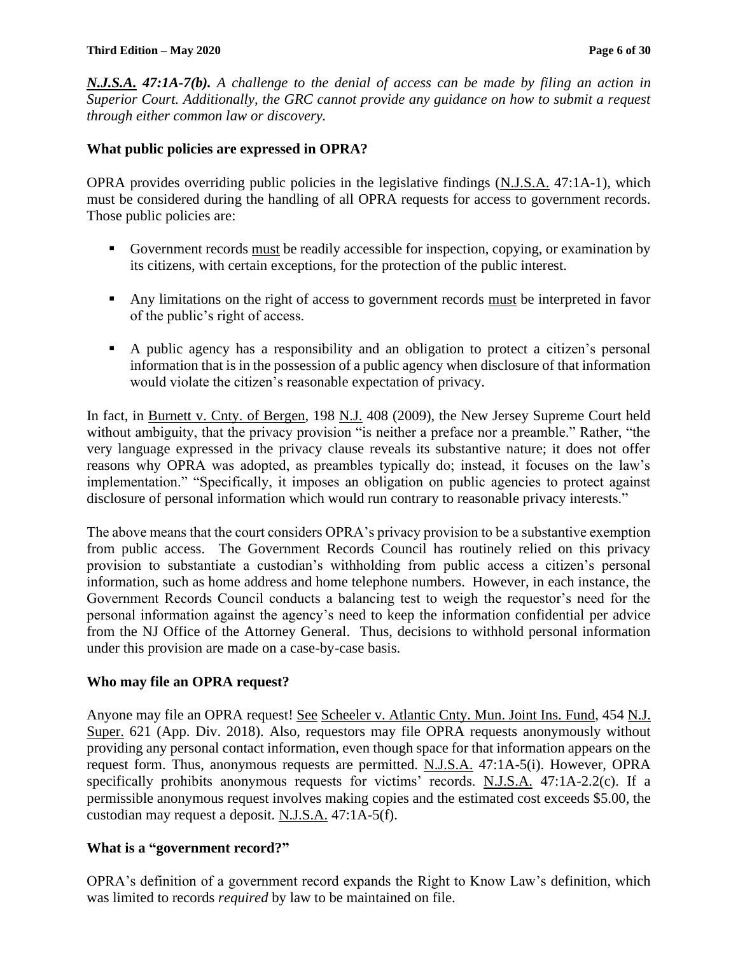#### **Third Edition – May 2020 Page 6 of 30**

*N.J.S.A. 47:1A-7(b). A challenge to the denial of access can be made by filing an action in Superior Court. Additionally, the GRC cannot provide any guidance on how to submit a request through either common law or discovery.*

#### **What public policies are expressed in OPRA?**

OPRA provides overriding public policies in the legislative findings (N.J.S.A. 47:1A-1), which must be considered during the handling of all OPRA requests for access to government records. Those public policies are:

- Government records must be readily accessible for inspection, copying, or examination by its citizens, with certain exceptions, for the protection of the public interest.
- Any limitations on the right of access to government records must be interpreted in favor of the public's right of access.
- A public agency has a responsibility and an obligation to protect a citizen's personal information that is in the possession of a public agency when disclosure of that information would violate the citizen's reasonable expectation of privacy.

In fact, in Burnett v. Cnty. of Bergen, 198 N.J. 408 (2009), the New Jersey Supreme Court held without ambiguity, that the privacy provision "is neither a preface nor a preamble." Rather, "the very language expressed in the privacy clause reveals its substantive nature; it does not offer reasons why OPRA was adopted, as preambles typically do; instead, it focuses on the law's implementation." "Specifically, it imposes an obligation on public agencies to protect against disclosure of personal information which would run contrary to reasonable privacy interests."

The above means that the court considers OPRA's privacy provision to be a substantive exemption from public access. The Government Records Council has routinely relied on this privacy provision to substantiate a custodian's withholding from public access a citizen's personal information, such as home address and home telephone numbers. However, in each instance, the Government Records Council conducts a balancing test to weigh the requestor's need for the personal information against the agency's need to keep the information confidential per advice from the NJ Office of the Attorney General. Thus, decisions to withhold personal information under this provision are made on a case-by-case basis.

#### **Who may file an OPRA request?**

Anyone may file an OPRA request! See Scheeler v. Atlantic Cnty. Mun. Joint Ins. Fund, 454 N.J. Super. 621 (App. Div. 2018). Also, requestors may file OPRA requests anonymously without providing any personal contact information, even though space for that information appears on the request form. Thus, anonymous requests are permitted. N.J.S.A. 47:1A-5(i). However, OPRA specifically prohibits anonymous requests for victims' records. N.J.S.A. 47:1A-2.2(c). If a permissible anonymous request involves making copies and the estimated cost exceeds \$5.00, the custodian may request a deposit. N.J.S.A. 47:1A-5(f).

#### **What is a "government record?"**

OPRA's definition of a government record expands the Right to Know Law's definition, which was limited to records *required* by law to be maintained on file.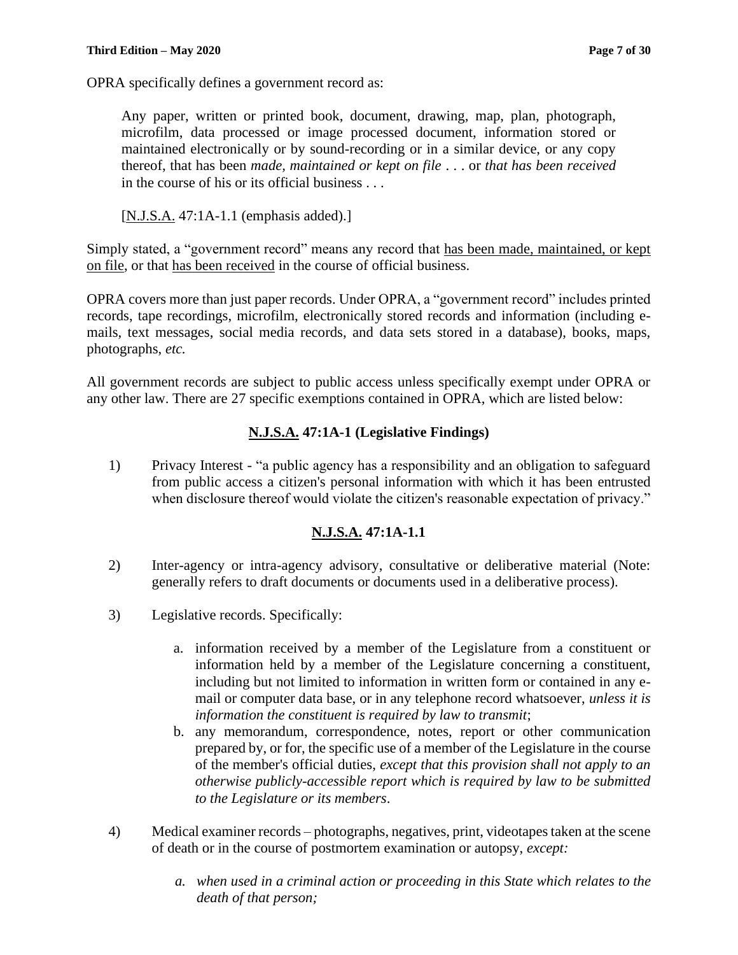OPRA specifically defines a government record as:

Any paper, written or printed book, document, drawing, map, plan, photograph, microfilm, data processed or image processed document, information stored or maintained electronically or by sound-recording or in a similar device, or any copy thereof, that has been *made, maintained or kept on file* . . . or *that has been received* in the course of his or its official business . . .

[N.J.S.A. 47:1A-1.1 (emphasis added).]

Simply stated, a "government record" means any record that has been made, maintained, or kept on file, or that has been received in the course of official business.

OPRA covers more than just paper records. Under OPRA, a "government record" includes printed records, tape recordings, microfilm, electronically stored records and information (including emails, text messages, social media records, and data sets stored in a database), books, maps, photographs, *etc.*

All government records are subject to public access unless specifically exempt under OPRA or any other law. There are 27 specific exemptions contained in OPRA, which are listed below:

# **N.J.S.A. 47:1A-1 (Legislative Findings)**

1) Privacy Interest - "a public agency has a responsibility and an obligation to safeguard from public access a citizen's personal information with which it has been entrusted when disclosure thereof would violate the citizen's reasonable expectation of privacy."

# **N.J.S.A. 47:1A-1.1**

- 2) Inter-agency or intra-agency advisory, consultative or deliberative material (Note: generally refers to draft documents or documents used in a deliberative process).
- 3) Legislative records. Specifically:
	- a. information received by a member of the Legislature from a constituent or information held by a member of the Legislature concerning a constituent, including but not limited to information in written form or contained in any email or computer data base, or in any telephone record whatsoever, *unless it is information the constituent is required by law to transmit*;
	- b. any memorandum, correspondence, notes, report or other communication prepared by, or for, the specific use of a member of the Legislature in the course of the member's official duties, *except that this provision shall not apply to an otherwise publicly-accessible report which is required by law to be submitted to the Legislature or its members*.
- 4) Medical examiner records photographs, negatives, print, videotapes taken at the scene of death or in the course of postmortem examination or autopsy, *except:*
	- *a. when used in a criminal action or proceeding in this State which relates to the death of that person;*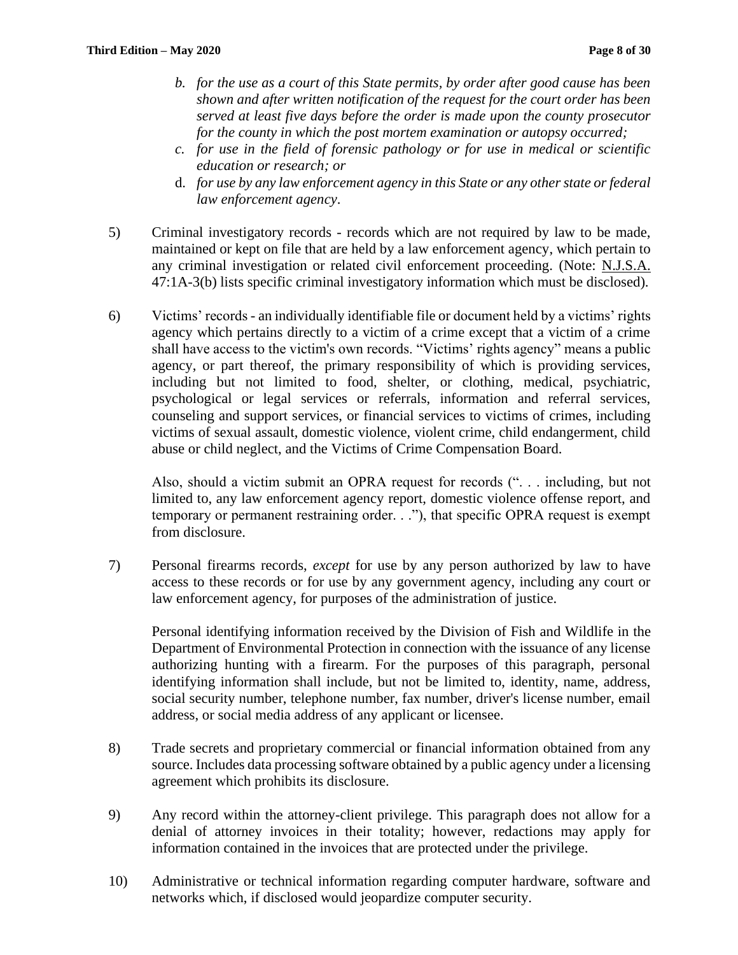- *b. for the use as a court of this State permits, by order after good cause has been shown and after written notification of the request for the court order has been served at least five days before the order is made upon the county prosecutor for the county in which the post mortem examination or autopsy occurred;*
- *c. for use in the field of forensic pathology or for use in medical or scientific education or research; or*
- d. *for use by any law enforcement agency in this State or any other state or federal law enforcement agency*.
- 5) Criminal investigatory records records which are not required by law to be made, maintained or kept on file that are held by a law enforcement agency, which pertain to any criminal investigation or related civil enforcement proceeding. (Note: N.J.S.A. 47:1A-3(b) lists specific criminal investigatory information which must be disclosed).
- 6) Victims' records an individually identifiable file or document held by a victims' rights agency which pertains directly to a victim of a crime except that a victim of a crime shall have access to the victim's own records. "Victims' rights agency" means a public agency, or part thereof, the primary responsibility of which is providing services, including but not limited to food, shelter, or clothing, medical, psychiatric, psychological or legal services or referrals, information and referral services, counseling and support services, or financial services to victims of crimes, including victims of sexual assault, domestic violence, violent crime, child endangerment, child abuse or child neglect, and the Victims of Crime Compensation Board.

Also, should a victim submit an OPRA request for records (". . . including, but not limited to, any law enforcement agency report, domestic violence offense report, and temporary or permanent restraining order. . ."), that specific OPRA request is exempt from disclosure.

7) Personal firearms records, *except* for use by any person authorized by law to have access to these records or for use by any government agency, including any court or law enforcement agency, for purposes of the administration of justice.

Personal identifying information received by the Division of Fish and Wildlife in the Department of Environmental Protection in connection with the issuance of any license authorizing hunting with a firearm. For the purposes of this paragraph, personal identifying information shall include, but not be limited to, identity, name, address, social security number, telephone number, fax number, driver's license number, email address, or social media address of any applicant or licensee.

- 8) Trade secrets and proprietary commercial or financial information obtained from any source. Includes data processing software obtained by a public agency under a licensing agreement which prohibits its disclosure.
- 9) Any record within the attorney-client privilege. This paragraph does not allow for a denial of attorney invoices in their totality; however, redactions may apply for information contained in the invoices that are protected under the privilege.
- 10) Administrative or technical information regarding computer hardware, software and networks which, if disclosed would jeopardize computer security.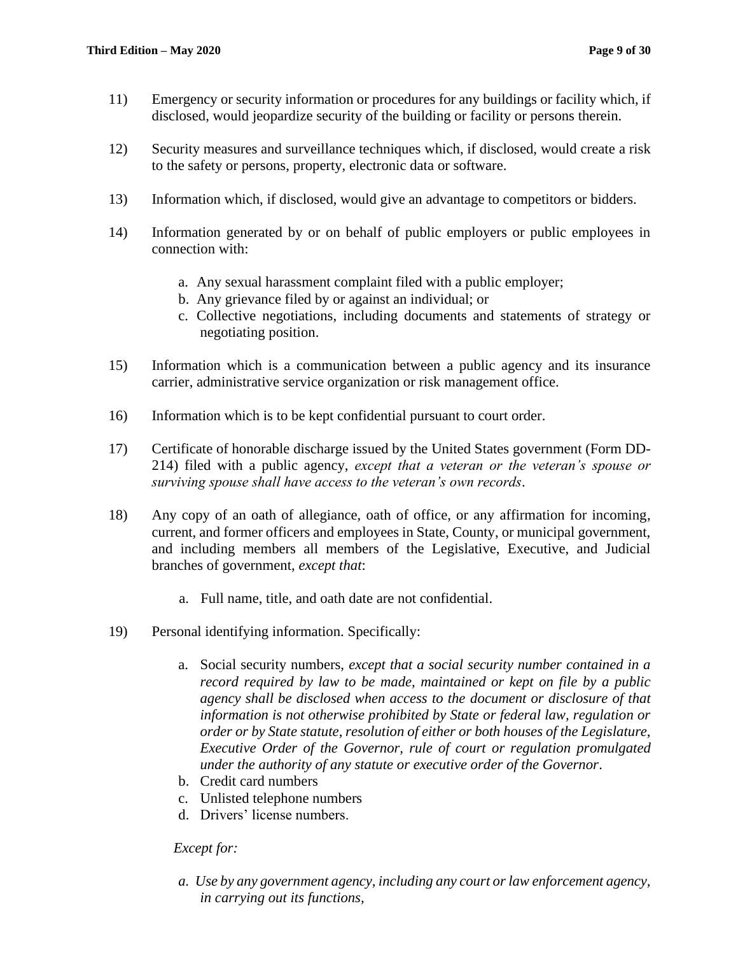- 11) Emergency or security information or procedures for any buildings or facility which, if disclosed, would jeopardize security of the building or facility or persons therein.
- 12) Security measures and surveillance techniques which, if disclosed, would create a risk to the safety or persons, property, electronic data or software.
- 13) Information which, if disclosed, would give an advantage to competitors or bidders.
- 14) Information generated by or on behalf of public employers or public employees in connection with:
	- a. Any sexual harassment complaint filed with a public employer;
	- b. Any grievance filed by or against an individual; or
	- c. Collective negotiations, including documents and statements of strategy or negotiating position.
- 15) Information which is a communication between a public agency and its insurance carrier, administrative service organization or risk management office.
- 16) Information which is to be kept confidential pursuant to court order.
- 17) Certificate of honorable discharge issued by the United States government (Form DD-214) filed with a public agency, *except that a veteran or the veteran's spouse or surviving spouse shall have access to the veteran's own records*.
- 18) Any copy of an oath of allegiance, oath of office, or any affirmation for incoming, current, and former officers and employees in State, County, or municipal government, and including members all members of the Legislative, Executive, and Judicial branches of government, *except that*:
	- a. Full name, title, and oath date are not confidential.
- 19) Personal identifying information. Specifically:
	- a. Social security numbers, *except that a social security number contained in a record required by law to be made, maintained or kept on file by a public agency shall be disclosed when access to the document or disclosure of that information is not otherwise prohibited by State or federal law, regulation or order or by State statute, resolution of either or both houses of the Legislature, Executive Order of the Governor, rule of court or regulation promulgated under the authority of any statute or executive order of the Governor*.
	- b. Credit card numbers
	- c. Unlisted telephone numbers
	- d. Drivers' license numbers.

#### *Except for:*

*a. Use by any government agency, including any court or law enforcement agency, in carrying out its functions,*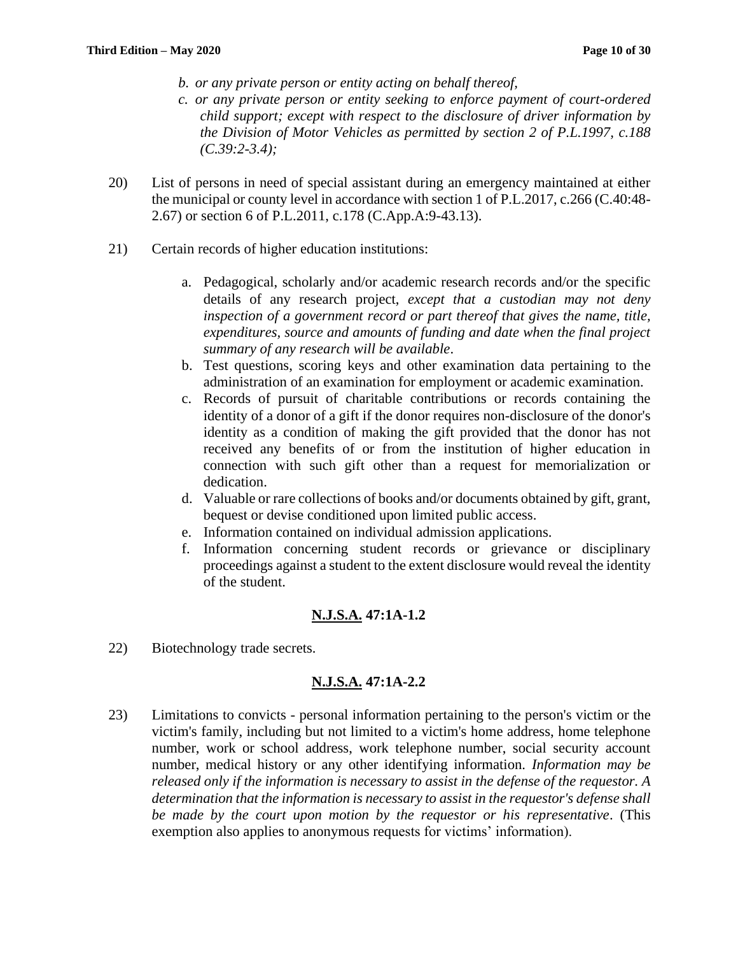- *b. or any private person or entity acting on behalf thereof,*
- *c. or any private person or entity seeking to enforce payment of court-ordered child support; except with respect to the disclosure of driver information by the Division of Motor Vehicles as permitted by section 2 of P.L.1997, c.188 (C.39:2-3.4);*
- 20) List of persons in need of special assistant during an emergency maintained at either the municipal or county level in accordance with section 1 of P.L.2017, c.266 (C.40:48- 2.67) or section 6 of P.L.2011, c.178 (C.App.A:9-43.13).
- 21) Certain records of higher education institutions:
	- a. Pedagogical, scholarly and/or academic research records and/or the specific details of any research project, *except that a custodian may not deny inspection of a government record or part thereof that gives the name, title, expenditures, source and amounts of funding and date when the final project summary of any research will be available*.
	- b. Test questions, scoring keys and other examination data pertaining to the administration of an examination for employment or academic examination.
	- c. Records of pursuit of charitable contributions or records containing the identity of a donor of a gift if the donor requires non-disclosure of the donor's identity as a condition of making the gift provided that the donor has not received any benefits of or from the institution of higher education in connection with such gift other than a request for memorialization or dedication.
	- d. Valuable or rare collections of books and/or documents obtained by gift, grant, bequest or devise conditioned upon limited public access.
	- e. Information contained on individual admission applications.
	- f. Information concerning student records or grievance or disciplinary proceedings against a student to the extent disclosure would reveal the identity of the student.

# **N.J.S.A. 47:1A-1.2**

22) Biotechnology trade secrets.

# **N.J.S.A. 47:1A-2.2**

23) Limitations to convicts - personal information pertaining to the person's victim or the victim's family, including but not limited to a victim's home address, home telephone number, work or school address, work telephone number, social security account number, medical history or any other identifying information. *Information may be released only if the information is necessary to assist in the defense of the requestor. A determination that the information is necessary to assist in the requestor's defense shall be made by the court upon motion by the requestor or his representative*. (This exemption also applies to anonymous requests for victims' information).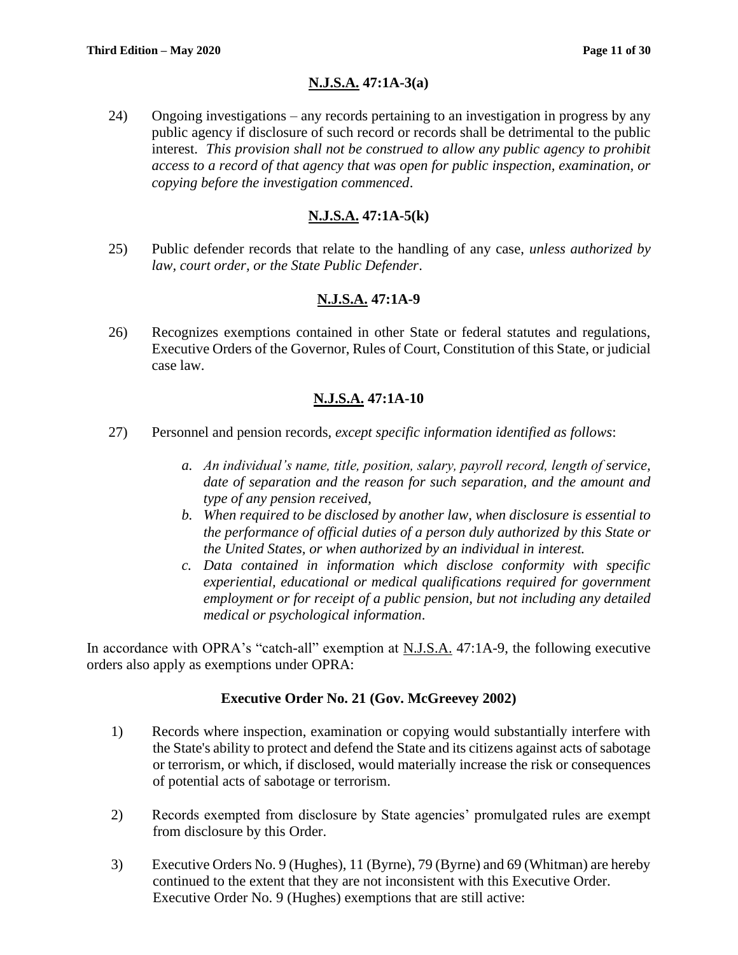# **N.J.S.A. 47:1A-3(a)**

24) Ongoing investigations – any records pertaining to an investigation in progress by any public agency if disclosure of such record or records shall be detrimental to the public interest. *This provision shall not be construed to allow any public agency to prohibit access to a record of that agency that was open for public inspection, examination, or copying before the investigation commenced*.

# **N.J.S.A. 47:1A-5(k)**

25) Public defender records that relate to the handling of any case, *unless authorized by law, court order, or the State Public Defender*.

# **N.J.S.A. 47:1A-9**

26) Recognizes exemptions contained in other State or federal statutes and regulations, Executive Orders of the Governor, Rules of Court, Constitution of this State, or judicial case law.

# **N.J.S.A. 47:1A-10**

- 27) Personnel and pension records, *except specific information identified as follows*:
	- *a. An individual's name, title, position, salary, payroll record, length of service, date of separation and the reason for such separation, and the amount and type of any pension received,*
	- *b. When required to be disclosed by another law, when disclosure is essential to the performance of official duties of a person duly authorized by this State or the United States, or when authorized by an individual in interest.*
	- *c. Data contained in information which disclose conformity with specific experiential, educational or medical qualifications required for government employment or for receipt of a public pension, but not including any detailed medical or psychological information*.

In accordance with OPRA's "catch-all" exemption at N.J.S.A. 47:1A-9, the following executive orders also apply as exemptions under OPRA:

#### **Executive Order No. 21 (Gov. McGreevey 2002)**

- 1) Records where inspection, examination or copying would substantially interfere with the State's ability to protect and defend the State and its citizens against acts of sabotage or terrorism, or which, if disclosed, would materially increase the risk or consequences of potential acts of sabotage or terrorism.
- 2) Records exempted from disclosure by State agencies' promulgated rules are exempt from disclosure by this Order.
- 3) Executive Orders No. 9 (Hughes), 11 (Byrne), 79 (Byrne) and 69 (Whitman) are hereby continued to the extent that they are not inconsistent with this Executive Order. Executive Order No. 9 (Hughes) exemptions that are still active: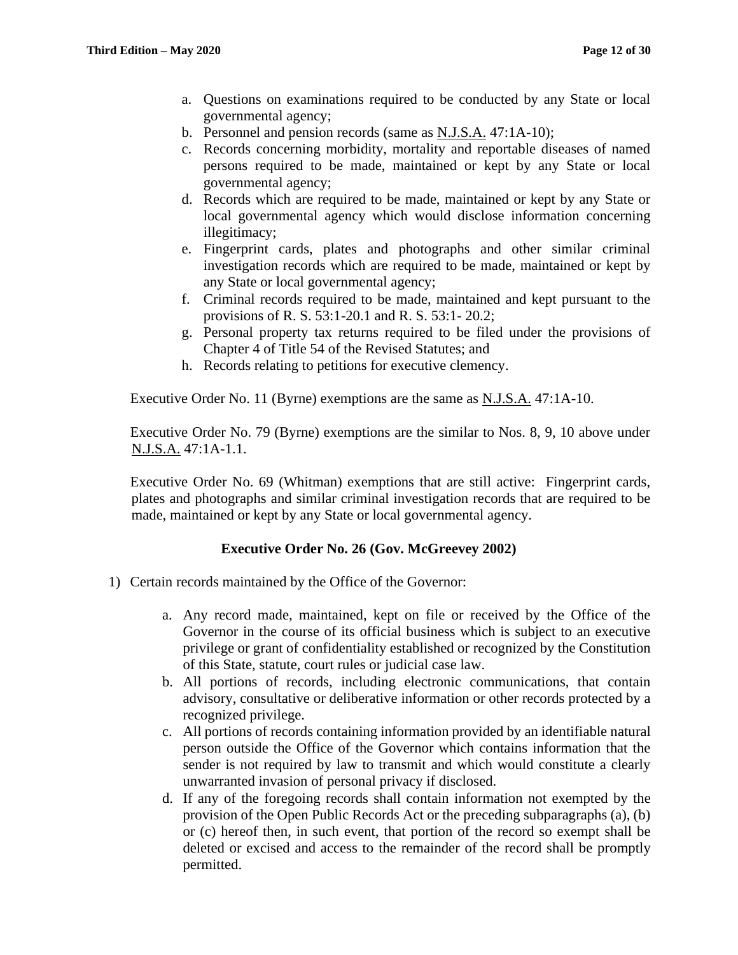- a. Questions on examinations required to be conducted by any State or local governmental agency;
- b. Personnel and pension records (same as N.J.S.A. 47:1A-10);
- c. Records concerning morbidity, mortality and reportable diseases of named persons required to be made, maintained or kept by any State or local governmental agency;
- d. Records which are required to be made, maintained or kept by any State or local governmental agency which would disclose information concerning illegitimacy;
- e. Fingerprint cards, plates and photographs and other similar criminal investigation records which are required to be made, maintained or kept by any State or local governmental agency;
- f. Criminal records required to be made, maintained and kept pursuant to the provisions of R. S. 53:1-20.1 and R. S. 53:1- 20.2;
- g. Personal property tax returns required to be filed under the provisions of Chapter 4 of Title 54 of the Revised Statutes; and
- h. Records relating to petitions for executive clemency.

Executive Order No. 11 (Byrne) exemptions are the same as N.J.S.A. 47:1A-10.

Executive Order No. 79 (Byrne) exemptions are the similar to Nos. 8, 9, 10 above under N.J.S.A. 47:1A-1.1.

Executive Order No. 69 (Whitman) exemptions that are still active: Fingerprint cards, plates and photographs and similar criminal investigation records that are required to be made, maintained or kept by any State or local governmental agency.

# **Executive Order No. 26 (Gov. McGreevey 2002)**

- 1) Certain records maintained by the Office of the Governor:
	- a. Any record made, maintained, kept on file or received by the Office of the Governor in the course of its official business which is subject to an executive privilege or grant of confidentiality established or recognized by the Constitution of this State, statute, court rules or judicial case law.
	- b. All portions of records, including electronic communications, that contain advisory, consultative or deliberative information or other records protected by a recognized privilege.
	- c. All portions of records containing information provided by an identifiable natural person outside the Office of the Governor which contains information that the sender is not required by law to transmit and which would constitute a clearly unwarranted invasion of personal privacy if disclosed.
	- d. If any of the foregoing records shall contain information not exempted by the provision of the Open Public Records Act or the preceding subparagraphs (a), (b) or (c) hereof then, in such event, that portion of the record so exempt shall be deleted or excised and access to the remainder of the record shall be promptly permitted.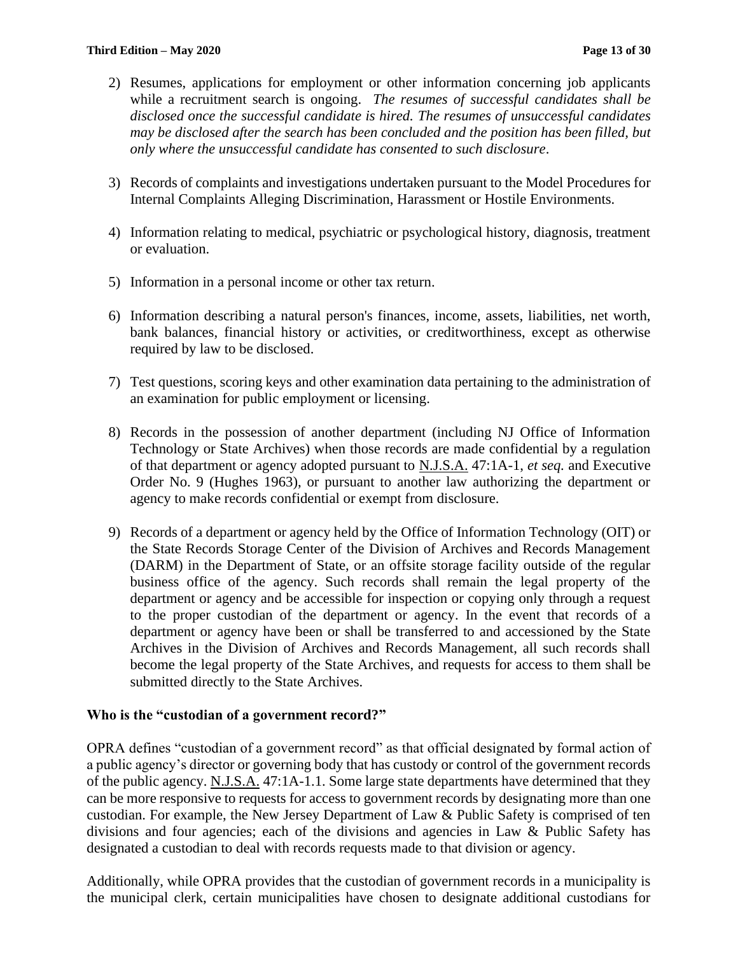- 2) Resumes, applications for employment or other information concerning job applicants while a recruitment search is ongoing. *The resumes of successful candidates shall be disclosed once the successful candidate is hired. The resumes of unsuccessful candidates may be disclosed after the search has been concluded and the position has been filled, but only where the unsuccessful candidate has consented to such disclosure*.
- 3) Records of complaints and investigations undertaken pursuant to the Model Procedures for Internal Complaints Alleging Discrimination, Harassment or Hostile Environments.
- 4) Information relating to medical, psychiatric or psychological history, diagnosis, treatment or evaluation.
- 5) Information in a personal income or other tax return.
- 6) Information describing a natural person's finances, income, assets, liabilities, net worth, bank balances, financial history or activities, or creditworthiness, except as otherwise required by law to be disclosed.
- 7) Test questions, scoring keys and other examination data pertaining to the administration of an examination for public employment or licensing.
- 8) Records in the possession of another department (including NJ Office of Information Technology or State Archives) when those records are made confidential by a regulation of that department or agency adopted pursuant to N.J.S.A. 47:1A-1, *et seq.* and Executive Order No. 9 (Hughes 1963), or pursuant to another law authorizing the department or agency to make records confidential or exempt from disclosure.
- 9) Records of a department or agency held by the Office of Information Technology (OIT) or the State Records Storage Center of the Division of Archives and Records Management (DARM) in the Department of State, or an offsite storage facility outside of the regular business office of the agency. Such records shall remain the legal property of the department or agency and be accessible for inspection or copying only through a request to the proper custodian of the department or agency. In the event that records of a department or agency have been or shall be transferred to and accessioned by the State Archives in the Division of Archives and Records Management, all such records shall become the legal property of the State Archives, and requests for access to them shall be submitted directly to the State Archives.

#### **Who is the "custodian of a government record?"**

OPRA defines "custodian of a government record" as that official designated by formal action of a public agency's director or governing body that has custody or control of the government records of the public agency. N.J.S.A. 47:1A-1.1. Some large state departments have determined that they can be more responsive to requests for access to government records by designating more than one custodian. For example, the New Jersey Department of Law & Public Safety is comprised of ten divisions and four agencies; each of the divisions and agencies in Law & Public Safety has designated a custodian to deal with records requests made to that division or agency.

Additionally, while OPRA provides that the custodian of government records in a municipality is the municipal clerk, certain municipalities have chosen to designate additional custodians for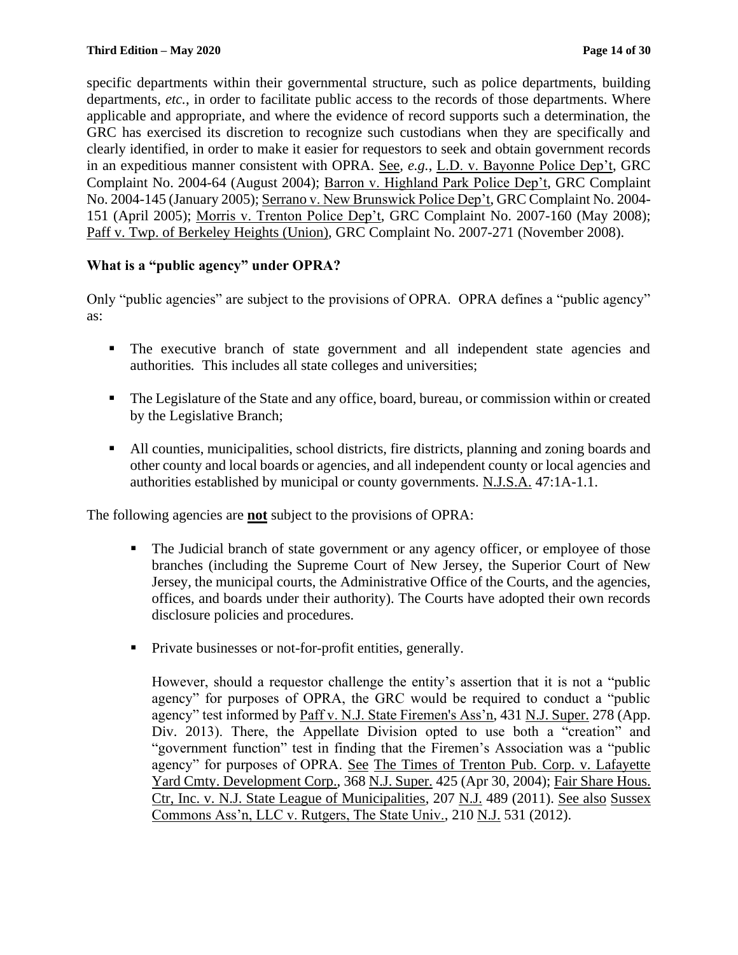specific departments within their governmental structure, such as police departments, building departments, *etc.*, in order to facilitate public access to the records of those departments. Where applicable and appropriate, and where the evidence of record supports such a determination, the GRC has exercised its discretion to recognize such custodians when they are specifically and clearly identified, in order to make it easier for requestors to seek and obtain government records in an expeditious manner consistent with OPRA. See*, e.g.*, L.D. v. Bayonne Police Dep't, GRC Complaint No. 2004-64 (August 2004); Barron v. Highland Park Police Dep't, GRC Complaint No. 2004-145 (January 2005); Serrano v. New Brunswick Police Dep't, GRC Complaint No. 2004- 151 (April 2005); Morris v. Trenton Police Dep't, GRC Complaint No. 2007-160 (May 2008); Paff v. Twp. of Berkeley Heights (Union), GRC Complaint No. 2007-271 (November 2008).

# **What is a "public agency" under OPRA?**

Only "public agencies" are subject to the provisions of OPRA. OPRA defines a "public agency" as:

- The executive branch of state government and all independent state agencies and authorities*.* This includes all state colleges and universities;
- The Legislature of the State and any office, board, bureau, or commission within or created by the Legislative Branch;
- All counties, municipalities, school districts, fire districts, planning and zoning boards and other county and local boards or agencies, and all independent county or local agencies and authorities established by municipal or county governments. N.J.S.A. 47:1A-1.1.

The following agencies are **not** subject to the provisions of OPRA:

- The Judicial branch of state government or any agency officer, or employee of those branches (including the Supreme Court of New Jersey, the Superior Court of New Jersey, the municipal courts, the Administrative Office of the Courts, and the agencies, offices, and boards under their authority). The Courts have adopted their own records disclosure policies and procedures.
- Private businesses or not-for-profit entities, generally.

However, should a requestor challenge the entity's assertion that it is not a "public agency" for purposes of OPRA, the GRC would be required to conduct a "public agency" test informed by Paff v. N.J. State Firemen's Ass'n, 431 N.J. Super. 278 (App. Div. 2013). There, the Appellate Division opted to use both a "creation" and "government function" test in finding that the Firemen's Association was a "public agency" for purposes of OPRA. See The Times of Trenton Pub. Corp. v. Lafayette Yard Cmty. Development Corp., 368 N.J. Super. 425 (Apr 30, 2004); Fair Share Hous. Ctr, Inc. v. N.J. State League of Municipalities, 207 N.J. 489 (2011). See also Sussex Commons Ass'n, LLC v. Rutgers, The State Univ., 210 N.J. 531 (2012).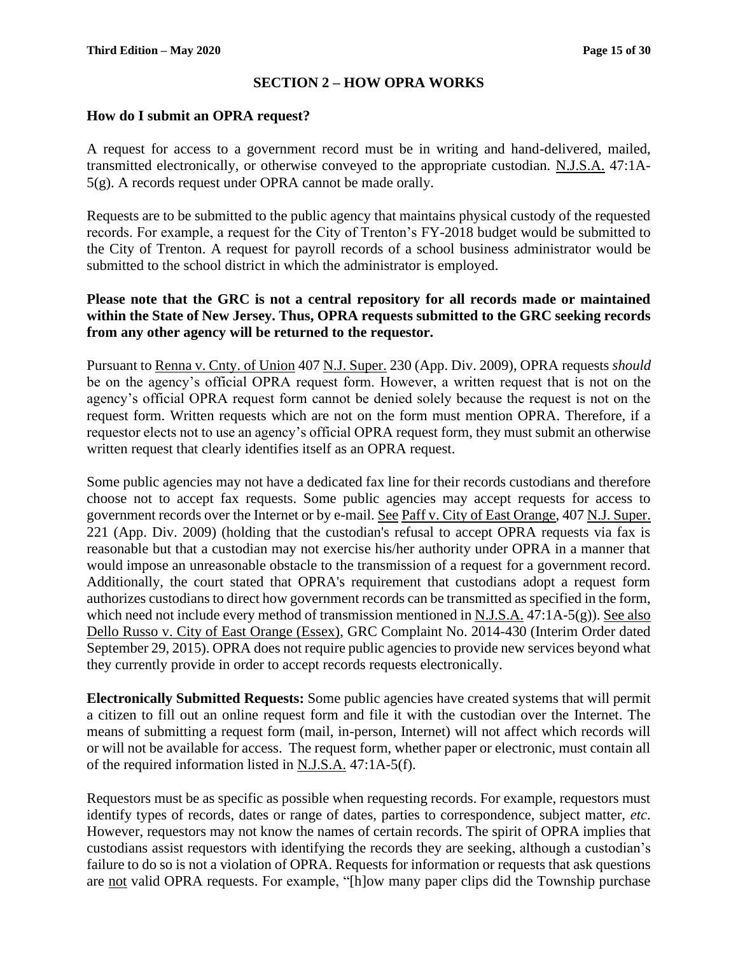# **SECTION 2 – HOW OPRA WORKS**

#### **How do I submit an OPRA request?**

A request for access to a government record must be in writing and hand-delivered, mailed, transmitted electronically, or otherwise conveyed to the appropriate custodian. N.J.S.A. 47:1A-5(g). A records request under OPRA cannot be made orally.

Requests are to be submitted to the public agency that maintains physical custody of the requested records. For example, a request for the City of Trenton's FY-2018 budget would be submitted to the City of Trenton. A request for payroll records of a school business administrator would be submitted to the school district in which the administrator is employed.

#### **Please note that the GRC is not a central repository for all records made or maintained within the State of New Jersey. Thus, OPRA requests submitted to the GRC seeking records from any other agency will be returned to the requestor.**

Pursuant to Renna v. Cnty. of Union 407 N.J. Super. 230 (App. Div. 2009), OPRA requests *should* be on the agency's official OPRA request form. However, a written request that is not on the agency's official OPRA request form cannot be denied solely because the request is not on the request form. Written requests which are not on the form must mention OPRA. Therefore, if a requestor elects not to use an agency's official OPRA request form, they must submit an otherwise written request that clearly identifies itself as an OPRA request.

Some public agencies may not have a dedicated fax line for their records custodians and therefore choose not to accept fax requests. Some public agencies may accept requests for access to government records over the Internet or by e-mail. See Paff v. City of East Orange, 407 N.J. Super. 221 (App. Div. 2009) (holding that the custodian's refusal to accept OPRA requests via fax is reasonable but that a custodian may not exercise his/her authority under OPRA in a manner that would impose an unreasonable obstacle to the transmission of a request for a government record. Additionally, the court stated that OPRA's requirement that custodians adopt a request form authorizes custodians to direct how government records can be transmitted as specified in the form, which need not include every method of transmission mentioned in N.J.S.A. 47:1A-5(g)). See also Dello Russo v. City of East Orange (Essex), GRC Complaint No. 2014-430 (Interim Order dated September 29, 2015). OPRA does not require public agencies to provide new services beyond what they currently provide in order to accept records requests electronically.

**Electronically Submitted Requests:** Some public agencies have created systems that will permit a citizen to fill out an online request form and file it with the custodian over the Internet. The means of submitting a request form (mail, in-person, Internet) will not affect which records will or will not be available for access. The request form, whether paper or electronic, must contain all of the required information listed in N.J.S.A. 47:1A-5(f).

Requestors must be as specific as possible when requesting records. For example, requestors must identify types of records, dates or range of dates, parties to correspondence, subject matter, *etc*. However, requestors may not know the names of certain records. The spirit of OPRA implies that custodians assist requestors with identifying the records they are seeking, although a custodian's failure to do so is not a violation of OPRA. Requests for information or requests that ask questions are not valid OPRA requests. For example, "[h]ow many paper clips did the Township purchase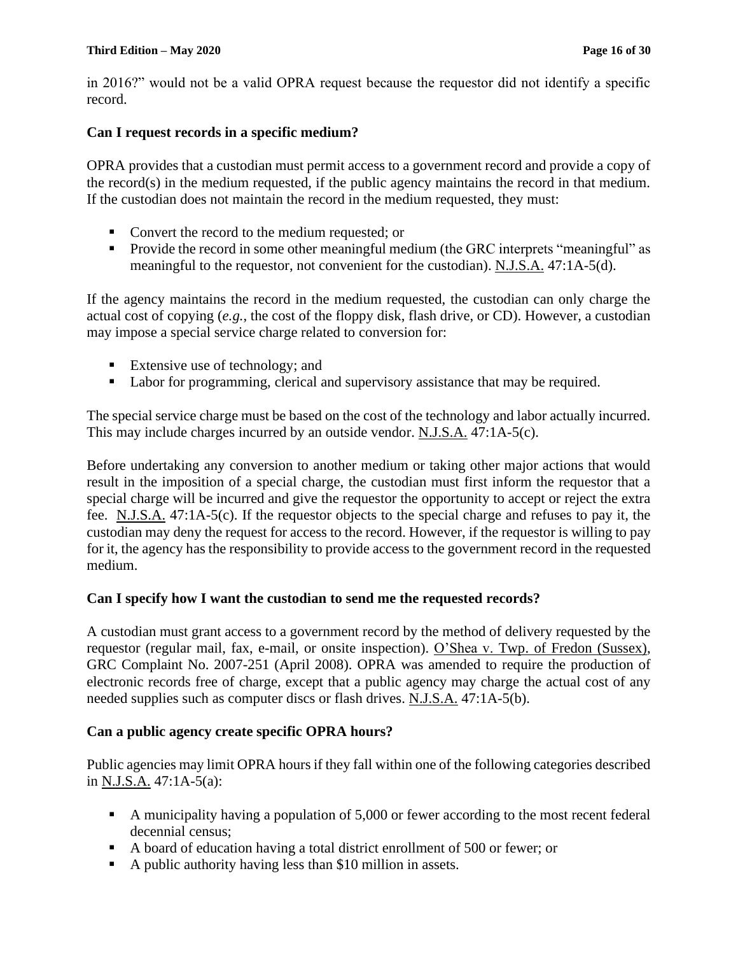#### **Third Edition – May 2020 Page 16 of 30**

in 2016?" would not be a valid OPRA request because the requestor did not identify a specific record.

#### **Can I request records in a specific medium?**

OPRA provides that a custodian must permit access to a government record and provide a copy of the record(s) in the medium requested, if the public agency maintains the record in that medium. If the custodian does not maintain the record in the medium requested, they must:

- Convert the record to the medium requested; or
- Provide the record in some other meaningful medium (the GRC interprets "meaningful" as meaningful to the requestor, not convenient for the custodian). N.J.S.A. 47:1A-5(d).

If the agency maintains the record in the medium requested, the custodian can only charge the actual cost of copying (*e.g.*, the cost of the floppy disk, flash drive, or CD). However, a custodian may impose a special service charge related to conversion for:

- Extensive use of technology; and
- Labor for programming, clerical and supervisory assistance that may be required.

The special service charge must be based on the cost of the technology and labor actually incurred. This may include charges incurred by an outside vendor. N.J.S.A. 47:1A-5(c).

Before undertaking any conversion to another medium or taking other major actions that would result in the imposition of a special charge, the custodian must first inform the requestor that a special charge will be incurred and give the requestor the opportunity to accept or reject the extra fee. N.J.S.A. 47:1A-5(c). If the requestor objects to the special charge and refuses to pay it, the custodian may deny the request for access to the record. However, if the requestor is willing to pay for it, the agency has the responsibility to provide access to the government record in the requested medium.

# **Can I specify how I want the custodian to send me the requested records?**

A custodian must grant access to a government record by the method of delivery requested by the requestor (regular mail, fax, e-mail, or onsite inspection). O'Shea v. Twp. of Fredon (Sussex), GRC Complaint No. 2007-251 (April 2008). OPRA was amended to require the production of electronic records free of charge, except that a public agency may charge the actual cost of any needed supplies such as computer discs or flash drives. N.J.S.A. 47:1A-5(b).

# **Can a public agency create specific OPRA hours?**

Public agencies may limit OPRA hours if they fall within one of the following categories described in N.J.S.A. 47:1A-5(a):

- A municipality having a population of 5,000 or fewer according to the most recent federal decennial census;
- A board of education having a total district enrollment of 500 or fewer; or
- A public authority having less than \$10 million in assets.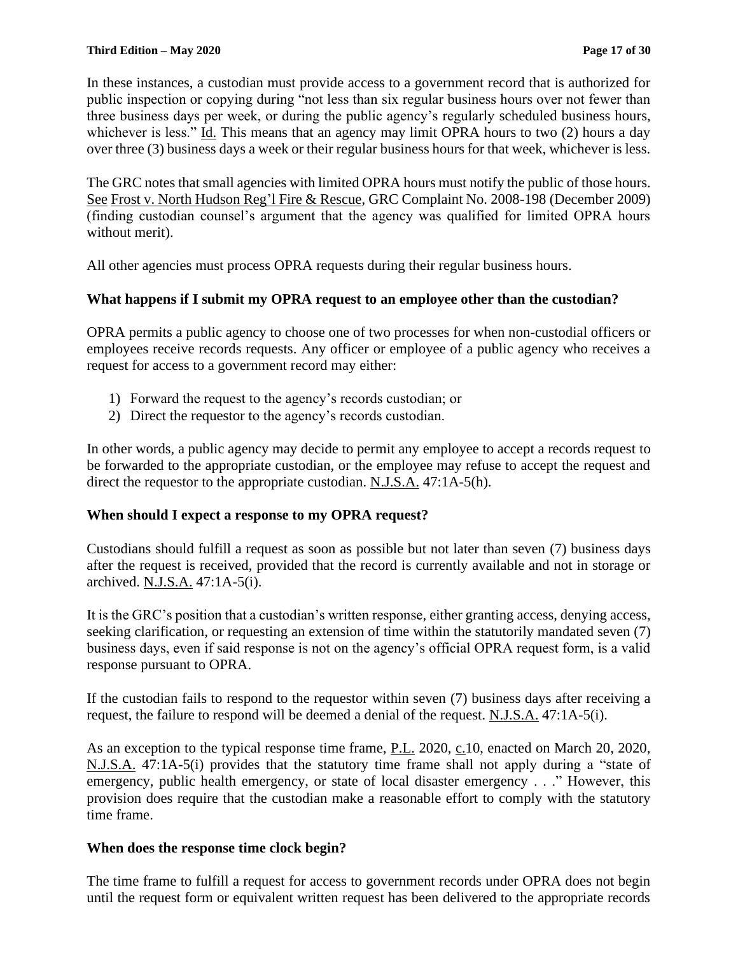In these instances, a custodian must provide access to a government record that is authorized for public inspection or copying during "not less than six regular business hours over not fewer than three business days per week, or during the public agency's regularly scheduled business hours, whichever is less." Id. This means that an agency may limit OPRA hours to two (2) hours a day over three (3) business days a week or their regular business hours for that week, whichever is less.

The GRC notes that small agencies with limited OPRA hours must notify the public of those hours. See Frost v. North Hudson Reg'l Fire & Rescue, GRC Complaint No. 2008-198 (December 2009) (finding custodian counsel's argument that the agency was qualified for limited OPRA hours without merit).

All other agencies must process OPRA requests during their regular business hours.

# **What happens if I submit my OPRA request to an employee other than the custodian?**

OPRA permits a public agency to choose one of two processes for when non-custodial officers or employees receive records requests. Any officer or employee of a public agency who receives a request for access to a government record may either:

- 1) Forward the request to the agency's records custodian; or
- 2) Direct the requestor to the agency's records custodian.

In other words, a public agency may decide to permit any employee to accept a records request to be forwarded to the appropriate custodian, or the employee may refuse to accept the request and direct the requestor to the appropriate custodian. N.J.S.A. 47:1A-5(h).

# **When should I expect a response to my OPRA request?**

Custodians should fulfill a request as soon as possible but not later than seven (7) business days after the request is received, provided that the record is currently available and not in storage or archived. N.J.S.A. 47:1A-5(i).

It is the GRC's position that a custodian's written response, either granting access, denying access, seeking clarification, or requesting an extension of time within the statutorily mandated seven (7) business days, even if said response is not on the agency's official OPRA request form, is a valid response pursuant to OPRA.

If the custodian fails to respond to the requestor within seven (7) business days after receiving a request, the failure to respond will be deemed a denial of the request. N.J.S.A. 47:1A-5(i).

As an exception to the typical response time frame, P.L. 2020, c.10, enacted on March 20, 2020, N.J.S.A. 47:1A-5(i) provides that the statutory time frame shall not apply during a "state of emergency, public health emergency, or state of local disaster emergency . . ." However, this provision does require that the custodian make a reasonable effort to comply with the statutory time frame.

# **When does the response time clock begin?**

The time frame to fulfill a request for access to government records under OPRA does not begin until the request form or equivalent written request has been delivered to the appropriate records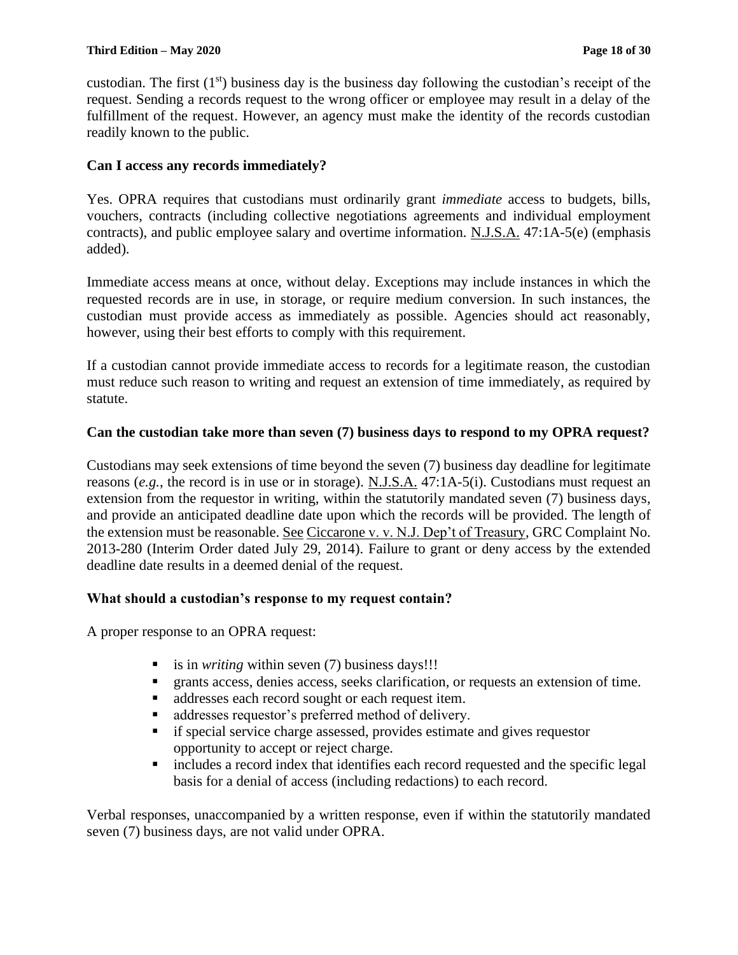custodian. The first  $(1<sup>st</sup>)$  business day is the business day following the custodian's receipt of the request. Sending a records request to the wrong officer or employee may result in a delay of the fulfillment of the request. However, an agency must make the identity of the records custodian readily known to the public.

# **Can I access any records immediately?**

Yes. OPRA requires that custodians must ordinarily grant *immediate* access to budgets, bills, vouchers, contracts (including collective negotiations agreements and individual employment contracts), and public employee salary and overtime information. N.J.S.A. 47:1A-5(e) (emphasis added).

Immediate access means at once, without delay. Exceptions may include instances in which the requested records are in use, in storage, or require medium conversion. In such instances, the custodian must provide access as immediately as possible. Agencies should act reasonably, however, using their best efforts to comply with this requirement.

If a custodian cannot provide immediate access to records for a legitimate reason, the custodian must reduce such reason to writing and request an extension of time immediately, as required by statute.

# **Can the custodian take more than seven (7) business days to respond to my OPRA request?**

Custodians may seek extensions of time beyond the seven (7) business day deadline for legitimate reasons (*e.g.*, the record is in use or in storage). N.J.S.A. 47:1A-5(i). Custodians must request an extension from the requestor in writing, within the statutorily mandated seven (7) business days, and provide an anticipated deadline date upon which the records will be provided. The length of the extension must be reasonable. See Ciccarone v. v. N.J. Dep't of Treasury, GRC Complaint No. 2013-280 (Interim Order dated July 29, 2014). Failure to grant or deny access by the extended deadline date results in a deemed denial of the request.

# **What should a custodian's response to my request contain?**

A proper response to an OPRA request:

- is in *writing* within seven (7) business days!!!
- **•** grants access, denies access, seeks clarification, or requests an extension of time.
- addresses each record sought or each request item.
- addresses requestor's preferred method of delivery.
- **If special service charge assessed, provides estimate and gives requestor** opportunity to accept or reject charge.
- includes a record index that identifies each record requested and the specific legal basis for a denial of access (including redactions) to each record.

Verbal responses, unaccompanied by a written response, even if within the statutorily mandated seven (7) business days, are not valid under OPRA.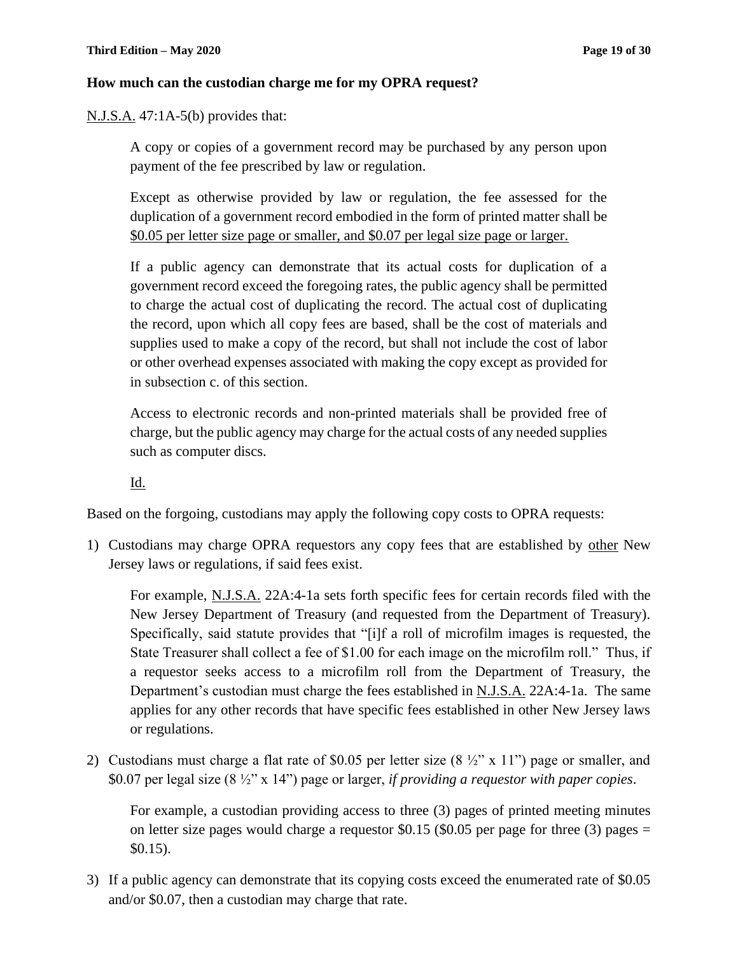#### **How much can the custodian charge me for my OPRA request?**

N.J.S.A. 47:1A-5(b) provides that:

A copy or copies of a government record may be purchased by any person upon payment of the fee prescribed by law or regulation.

Except as otherwise provided by law or regulation, the fee assessed for the duplication of a government record embodied in the form of printed matter shall be \$0.05 per letter size page or smaller, and \$0.07 per legal size page or larger.

If a public agency can demonstrate that its actual costs for duplication of a government record exceed the foregoing rates, the public agency shall be permitted to charge the actual cost of duplicating the record. The actual cost of duplicating the record, upon which all copy fees are based, shall be the cost of materials and supplies used to make a copy of the record, but shall not include the cost of labor or other overhead expenses associated with making the copy except as provided for in subsection c. of this section.

Access to electronic records and non-printed materials shall be provided free of charge, but the public agency may charge for the actual costs of any needed supplies such as computer discs.

Id.

Based on the forgoing, custodians may apply the following copy costs to OPRA requests:

1) Custodians may charge OPRA requestors any copy fees that are established by other New Jersey laws or regulations, if said fees exist.

For example, N.J.S.A. 22A:4-1a sets forth specific fees for certain records filed with the New Jersey Department of Treasury (and requested from the Department of Treasury). Specifically, said statute provides that "[i]f a roll of microfilm images is requested, the State Treasurer shall collect a fee of \$1.00 for each image on the microfilm roll." Thus, if a requestor seeks access to a microfilm roll from the Department of Treasury, the Department's custodian must charge the fees established in N.J.S.A. 22A:4-1a. The same applies for any other records that have specific fees established in other New Jersey laws or regulations.

2) Custodians must charge a flat rate of \$0.05 per letter size  $(8 \frac{1}{2}$ " x 11") page or smaller, and \$0.07 per legal size (8 ½" x 14") page or larger, *if providing a requestor with paper copies*.

For example, a custodian providing access to three (3) pages of printed meeting minutes on letter size pages would charge a requestor \$0.15 (\$0.05 per page for three  $(3)$  pages = \$0.15).

3) If a public agency can demonstrate that its copying costs exceed the enumerated rate of \$0.05 and/or \$0.07, then a custodian may charge that rate.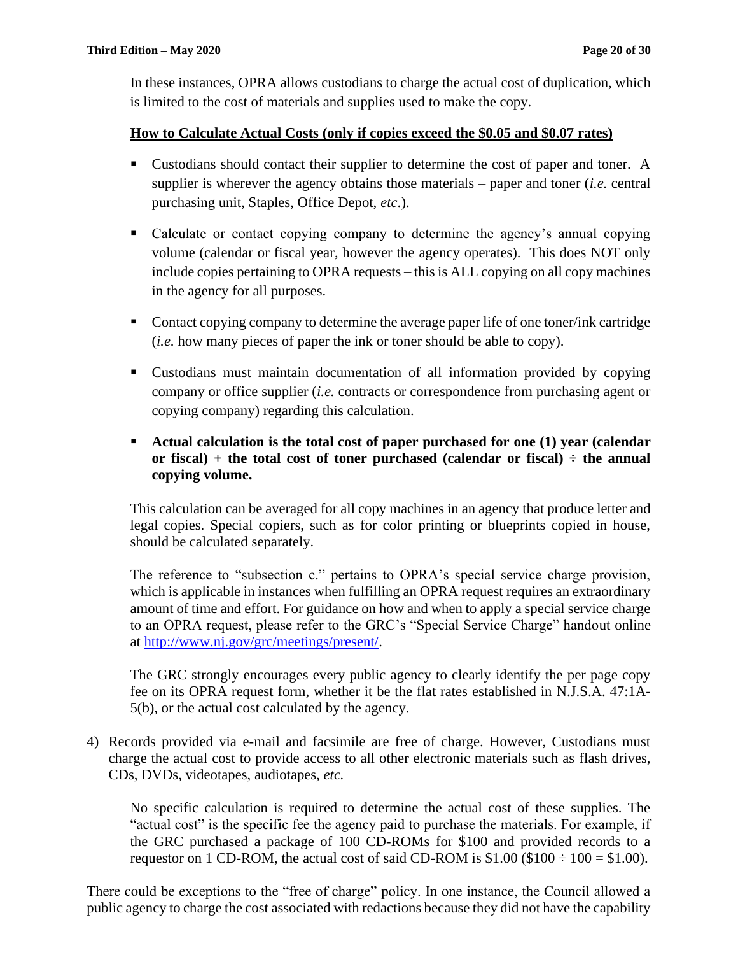In these instances, OPRA allows custodians to charge the actual cost of duplication, which is limited to the cost of materials and supplies used to make the copy.

#### **How to Calculate Actual Costs (only if copies exceed the \$0.05 and \$0.07 rates)**

- Custodians should contact their supplier to determine the cost of paper and toner. A supplier is wherever the agency obtains those materials – paper and toner (*i.e.* central purchasing unit, Staples, Office Depot, *etc*.).
- Calculate or contact copying company to determine the agency's annual copying volume (calendar or fiscal year, however the agency operates). This does NOT only include copies pertaining to OPRA requests – this is ALL copying on all copy machines in the agency for all purposes.
- Contact copying company to determine the average paper life of one toner/ink cartridge (*i.e.* how many pieces of paper the ink or toner should be able to copy).
- Custodians must maintain documentation of all information provided by copying company or office supplier (*i.e.* contracts or correspondence from purchasing agent or copying company) regarding this calculation.
- **Actual calculation is the total cost of paper purchased for one (1) year (calendar or fiscal)** + the total cost of toner purchased (calendar or fiscal)  $\div$  the annual **copying volume.**

This calculation can be averaged for all copy machines in an agency that produce letter and legal copies. Special copiers, such as for color printing or blueprints copied in house, should be calculated separately.

The reference to "subsection c." pertains to OPRA's special service charge provision, which is applicable in instances when fulfilling an OPRA request requires an extraordinary amount of time and effort. For guidance on how and when to apply a special service charge to an OPRA request, please refer to the GRC's "Special Service Charge" handout online at [http://www.nj.gov/grc/meetings/present/.](http://www.nj.gov/grc/meetings/present/)

The GRC strongly encourages every public agency to clearly identify the per page copy fee on its OPRA request form, whether it be the flat rates established in N.J.S.A. 47:1A-5(b), or the actual cost calculated by the agency.

4) Records provided via e-mail and facsimile are free of charge. However, Custodians must charge the actual cost to provide access to all other electronic materials such as flash drives, CDs, DVDs, videotapes, audiotapes, *etc.*

No specific calculation is required to determine the actual cost of these supplies. The "actual cost" is the specific fee the agency paid to purchase the materials. For example, if the GRC purchased a package of 100 CD-ROMs for \$100 and provided records to a requestor on 1 CD-ROM, the actual cost of said CD-ROM is  $$1.00$  ( $$100 \div 100 = $1.00$ ).

There could be exceptions to the "free of charge" policy. In one instance, the Council allowed a public agency to charge the cost associated with redactions because they did not have the capability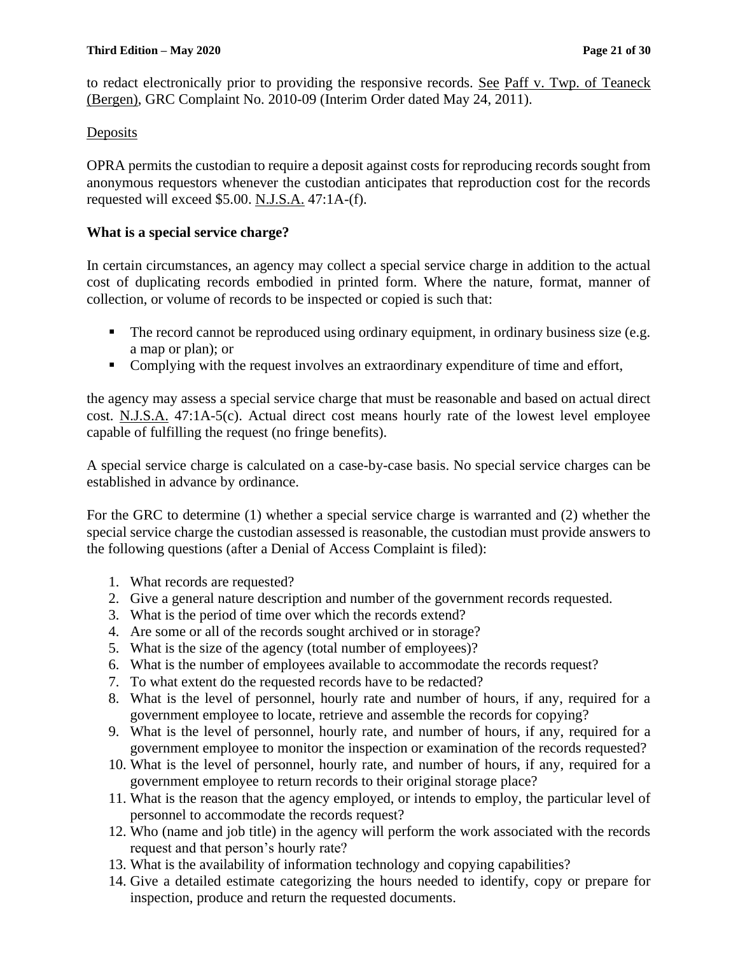to redact electronically prior to providing the responsive records. See Paff v. Twp. of Teaneck (Bergen), GRC Complaint No. 2010-09 (Interim Order dated May 24, 2011).

# **Deposits**

OPRA permits the custodian to require a deposit against costs for reproducing records sought from anonymous requestors whenever the custodian anticipates that reproduction cost for the records requested will exceed \$5.00. N.J.S.A. 47:1A-(f).

# **What is a special service charge?**

In certain circumstances, an agency may collect a special service charge in addition to the actual cost of duplicating records embodied in printed form. Where the nature, format, manner of collection, or volume of records to be inspected or copied is such that:

- The record cannot be reproduced using ordinary equipment, in ordinary business size (e.g. a map or plan); or
- Complying with the request involves an extraordinary expenditure of time and effort,

the agency may assess a special service charge that must be reasonable and based on actual direct cost. N.J.S.A. 47:1A-5(c). Actual direct cost means hourly rate of the lowest level employee capable of fulfilling the request (no fringe benefits).

A special service charge is calculated on a case-by-case basis. No special service charges can be established in advance by ordinance.

For the GRC to determine (1) whether a special service charge is warranted and (2) whether the special service charge the custodian assessed is reasonable, the custodian must provide answers to the following questions (after a Denial of Access Complaint is filed):

- 1. What records are requested?
- 2. Give a general nature description and number of the government records requested.
- 3. What is the period of time over which the records extend?
- 4. Are some or all of the records sought archived or in storage?
- 5. What is the size of the agency (total number of employees)?
- 6. What is the number of employees available to accommodate the records request?
- 7. To what extent do the requested records have to be redacted?
- 8. What is the level of personnel, hourly rate and number of hours, if any, required for a government employee to locate, retrieve and assemble the records for copying?
- 9. What is the level of personnel, hourly rate, and number of hours, if any, required for a government employee to monitor the inspection or examination of the records requested?
- 10. What is the level of personnel, hourly rate, and number of hours, if any, required for a government employee to return records to their original storage place?
- 11. What is the reason that the agency employed, or intends to employ, the particular level of personnel to accommodate the records request?
- 12. Who (name and job title) in the agency will perform the work associated with the records request and that person's hourly rate?
- 13. What is the availability of information technology and copying capabilities?
- 14. Give a detailed estimate categorizing the hours needed to identify, copy or prepare for inspection, produce and return the requested documents.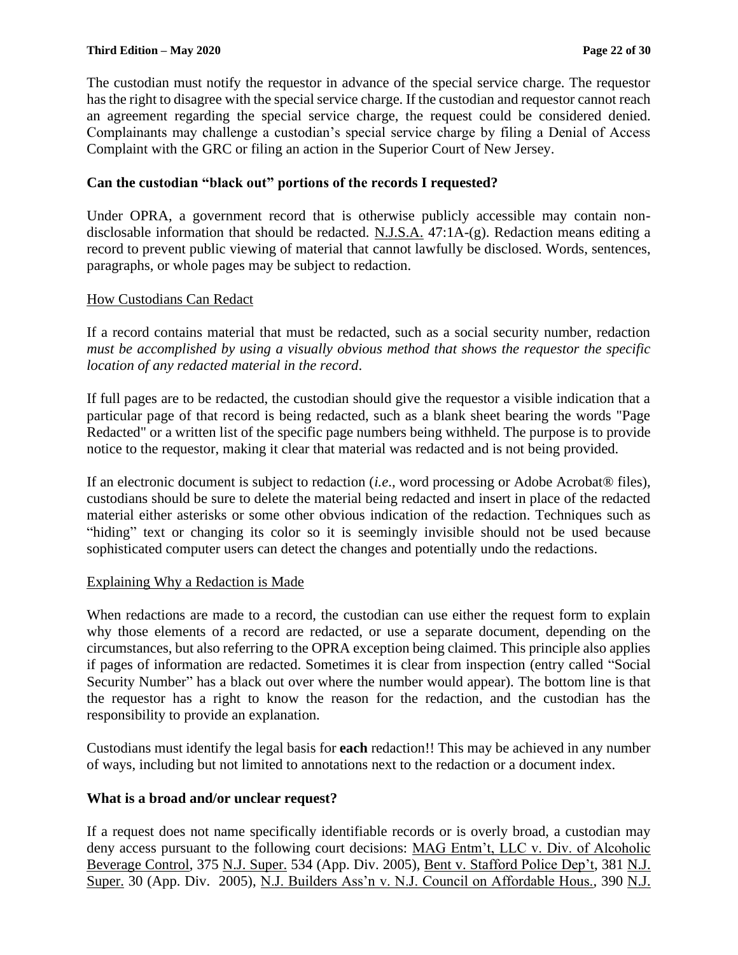The custodian must notify the requestor in advance of the special service charge. The requestor has the right to disagree with the special service charge. If the custodian and requestor cannot reach an agreement regarding the special service charge, the request could be considered denied. Complainants may challenge a custodian's special service charge by filing a Denial of Access Complaint with the GRC or filing an action in the Superior Court of New Jersey.

# **Can the custodian "black out" portions of the records I requested?**

Under OPRA, a government record that is otherwise publicly accessible may contain nondisclosable information that should be redacted. N.J.S.A. 47:1A-(g). Redaction means editing a record to prevent public viewing of material that cannot lawfully be disclosed. Words, sentences, paragraphs, or whole pages may be subject to redaction.

# How Custodians Can Redact

If a record contains material that must be redacted, such as a social security number, redaction *must be accomplished by using a visually obvious method that shows the requestor the specific location of any redacted material in the record*.

If full pages are to be redacted, the custodian should give the requestor a visible indication that a particular page of that record is being redacted, such as a blank sheet bearing the words "Page Redacted" or a written list of the specific page numbers being withheld. The purpose is to provide notice to the requestor, making it clear that material was redacted and is not being provided.

If an electronic document is subject to redaction (*i.e*.*,* word processing or Adobe Acrobat® files), custodians should be sure to delete the material being redacted and insert in place of the redacted material either asterisks or some other obvious indication of the redaction. Techniques such as "hiding" text or changing its color so it is seemingly invisible should not be used because sophisticated computer users can detect the changes and potentially undo the redactions.

#### Explaining Why a Redaction is Made

When redactions are made to a record, the custodian can use either the request form to explain why those elements of a record are redacted, or use a separate document, depending on the circumstances, but also referring to the OPRA exception being claimed. This principle also applies if pages of information are redacted. Sometimes it is clear from inspection (entry called "Social Security Number" has a black out over where the number would appear). The bottom line is that the requestor has a right to know the reason for the redaction, and the custodian has the responsibility to provide an explanation.

Custodians must identify the legal basis for **each** redaction!! This may be achieved in any number of ways, including but not limited to annotations next to the redaction or a document index.

# **What is a broad and/or unclear request?**

If a request does not name specifically identifiable records or is overly broad, a custodian may deny access pursuant to the following court decisions: MAG Entm't, LLC v. Div. of Alcoholic Beverage Control, 375 N.J. Super. 534 (App. Div. 2005), Bent v. Stafford Police Dep't, 381 N.J. Super. 30 (App. Div. 2005), N.J. Builders Ass'n v. N.J. Council on Affordable Hous., 390 N.J.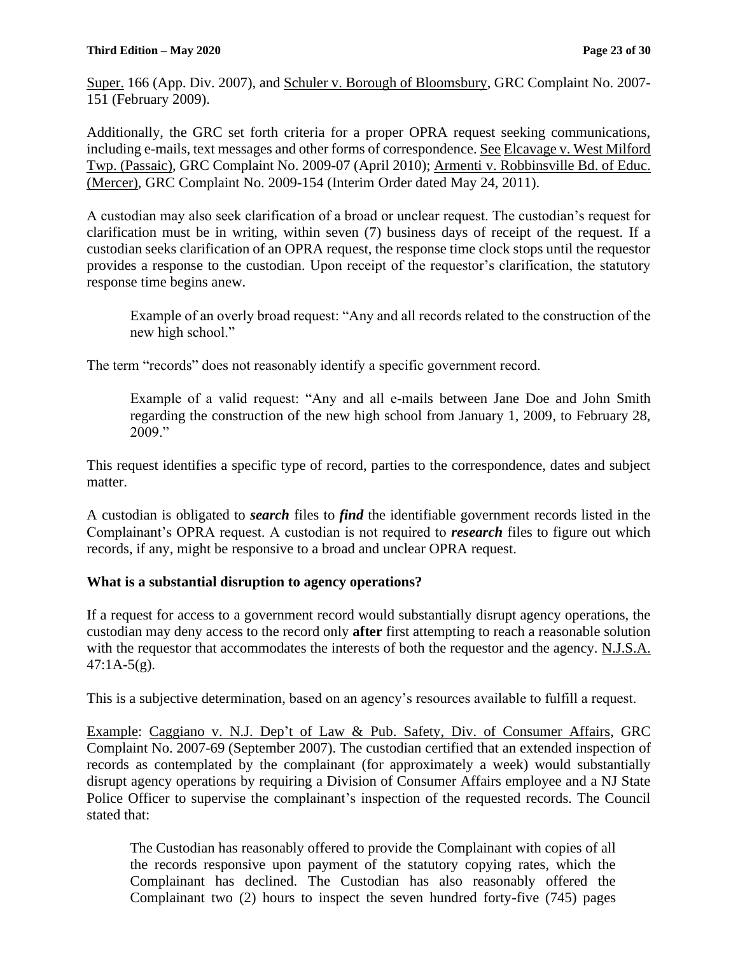Super. 166 (App. Div. 2007), and Schuler v. Borough of Bloomsbury, GRC Complaint No. 2007- 151 (February 2009).

Additionally, the GRC set forth criteria for a proper OPRA request seeking communications, including e-mails, text messages and other forms of correspondence. See Elcavage v. West Milford Twp. (Passaic), GRC Complaint No. 2009-07 (April 2010); Armenti v. Robbinsville Bd. of Educ. (Mercer), GRC Complaint No. 2009-154 (Interim Order dated May 24, 2011).

A custodian may also seek clarification of a broad or unclear request. The custodian's request for clarification must be in writing, within seven (7) business days of receipt of the request. If a custodian seeks clarification of an OPRA request, the response time clock stops until the requestor provides a response to the custodian. Upon receipt of the requestor's clarification, the statutory response time begins anew.

Example of an overly broad request: "Any and all records related to the construction of the new high school."

The term "records" does not reasonably identify a specific government record.

Example of a valid request: "Any and all e-mails between Jane Doe and John Smith regarding the construction of the new high school from January 1, 2009, to February 28, 2009."

This request identifies a specific type of record, parties to the correspondence, dates and subject matter.

A custodian is obligated to *search* files to *find* the identifiable government records listed in the Complainant's OPRA request. A custodian is not required to *research* files to figure out which records, if any, might be responsive to a broad and unclear OPRA request.

# **What is a substantial disruption to agency operations?**

If a request for access to a government record would substantially disrupt agency operations, the custodian may deny access to the record only **after** first attempting to reach a reasonable solution with the requestor that accommodates the interests of both the requestor and the agency. N.J.S.A.  $47:1A-5(g)$ .

This is a subjective determination, based on an agency's resources available to fulfill a request.

Example: Caggiano v. N.J. Dep't of Law & Pub. Safety, Div. of Consumer Affairs, GRC Complaint No. 2007-69 (September 2007). The custodian certified that an extended inspection of records as contemplated by the complainant (for approximately a week) would substantially disrupt agency operations by requiring a Division of Consumer Affairs employee and a NJ State Police Officer to supervise the complainant's inspection of the requested records. The Council stated that:

The Custodian has reasonably offered to provide the Complainant with copies of all the records responsive upon payment of the statutory copying rates, which the Complainant has declined. The Custodian has also reasonably offered the Complainant two (2) hours to inspect the seven hundred forty-five (745) pages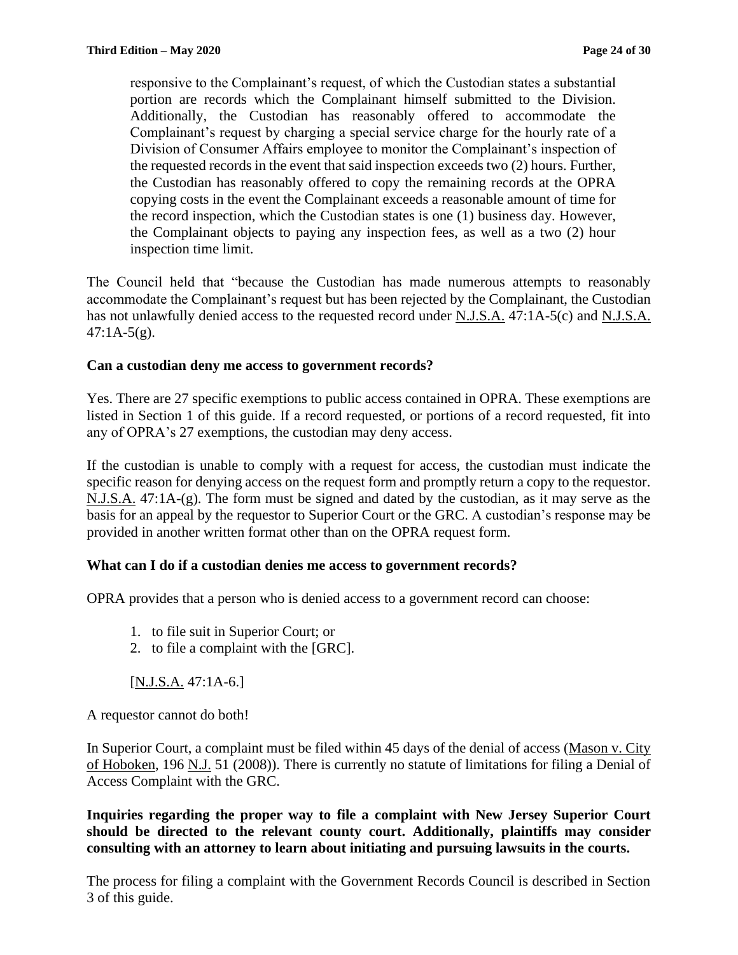responsive to the Complainant's request, of which the Custodian states a substantial portion are records which the Complainant himself submitted to the Division. Additionally, the Custodian has reasonably offered to accommodate the Complainant's request by charging a special service charge for the hourly rate of a Division of Consumer Affairs employee to monitor the Complainant's inspection of the requested records in the event that said inspection exceeds two (2) hours. Further, the Custodian has reasonably offered to copy the remaining records at the OPRA copying costs in the event the Complainant exceeds a reasonable amount of time for the record inspection, which the Custodian states is one (1) business day. However, the Complainant objects to paying any inspection fees, as well as a two (2) hour inspection time limit.

The Council held that "because the Custodian has made numerous attempts to reasonably accommodate the Complainant's request but has been rejected by the Complainant, the Custodian has not unlawfully denied access to the requested record under N.J.S.A. 47:1A-5(c) and N.J.S.A.  $47:1A-5(g)$ .

#### **Can a custodian deny me access to government records?**

Yes. There are 27 specific exemptions to public access contained in OPRA. These exemptions are listed in Section 1 of this guide. If a record requested, or portions of a record requested, fit into any of OPRA's 27 exemptions, the custodian may deny access.

If the custodian is unable to comply with a request for access, the custodian must indicate the specific reason for denying access on the request form and promptly return a copy to the requestor. N.J.S.A. 47:1A-(g). The form must be signed and dated by the custodian, as it may serve as the basis for an appeal by the requestor to Superior Court or the GRC. A custodian's response may be provided in another written format other than on the OPRA request form.

#### **What can I do if a custodian denies me access to government records?**

OPRA provides that a person who is denied access to a government record can choose:

- 1. to file suit in Superior Court; or
- 2. to file a complaint with the [GRC].

 $[N.J.S.A. 47:1A-6.]$ 

A requestor cannot do both!

In Superior Court, a complaint must be filed within 45 days of the denial of access (Mason v. City of Hoboken, 196 N.J. 51 (2008)). There is currently no statute of limitations for filing a Denial of Access Complaint with the GRC.

**Inquiries regarding the proper way to file a complaint with New Jersey Superior Court should be directed to the relevant county court. Additionally, plaintiffs may consider consulting with an attorney to learn about initiating and pursuing lawsuits in the courts.**

The process for filing a complaint with the Government Records Council is described in Section 3 of this guide.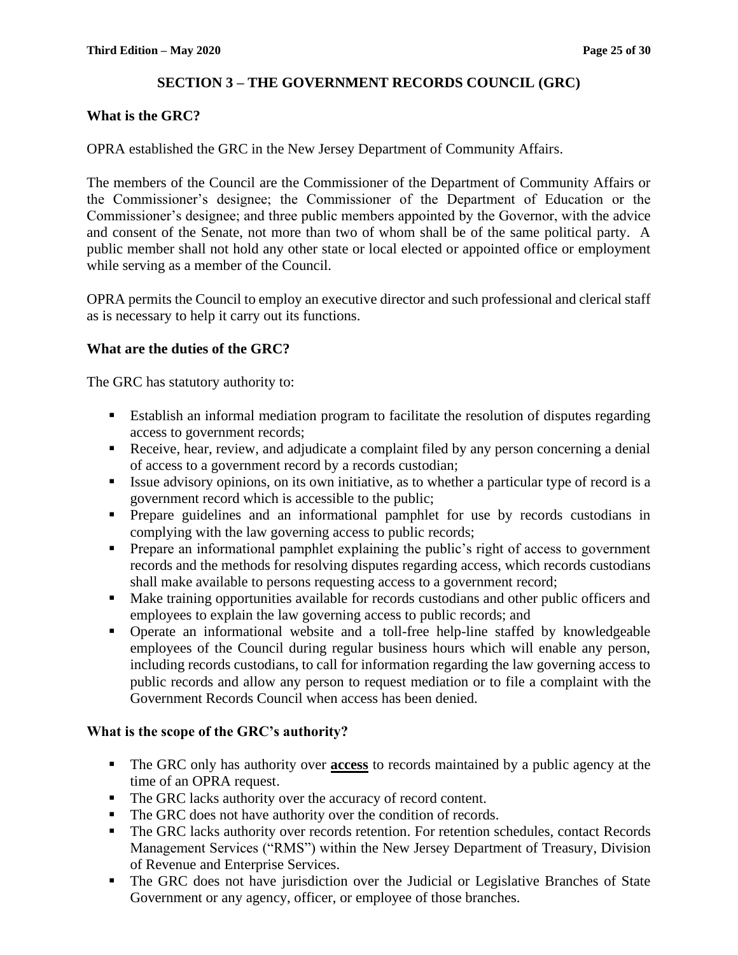#### **SECTION 3 – THE GOVERNMENT RECORDS COUNCIL (GRC)**

#### **What is the GRC?**

OPRA established the GRC in the New Jersey Department of Community Affairs.

The members of the Council are the Commissioner of the Department of Community Affairs or the Commissioner's designee; the Commissioner of the Department of Education or the Commissioner's designee; and three public members appointed by the Governor, with the advice and consent of the Senate, not more than two of whom shall be of the same political party. A public member shall not hold any other state or local elected or appointed office or employment while serving as a member of the Council.

OPRA permits the Council to employ an executive director and such professional and clerical staff as is necessary to help it carry out its functions.

#### **What are the duties of the GRC?**

The GRC has statutory authority to:

- Establish an informal mediation program to facilitate the resolution of disputes regarding access to government records;
- Receive, hear, review, and adjudicate a complaint filed by any person concerning a denial of access to a government record by a records custodian;
- Issue advisory opinions, on its own initiative, as to whether a particular type of record is a government record which is accessible to the public;
- Prepare guidelines and an informational pamphlet for use by records custodians in complying with the law governing access to public records;
- **•** Prepare an informational pamphlet explaining the public's right of access to government records and the methods for resolving disputes regarding access, which records custodians shall make available to persons requesting access to a government record;
- Make training opportunities available for records custodians and other public officers and employees to explain the law governing access to public records; and
- Operate an informational website and a toll-free help-line staffed by knowledgeable employees of the Council during regular business hours which will enable any person, including records custodians, to call for information regarding the law governing access to public records and allow any person to request mediation or to file a complaint with the Government Records Council when access has been denied.

#### **What is the scope of the GRC's authority?**

- The GRC only has authority over **access** to records maintained by a public agency at the time of an OPRA request.
- The GRC lacks authority over the accuracy of record content.
- The GRC does not have authority over the condition of records.
- The GRC lacks authority over records retention. For retention schedules, contact Records Management Services ("RMS") within the New Jersey Department of Treasury, Division of Revenue and Enterprise Services.
- The GRC does not have jurisdiction over the Judicial or Legislative Branches of State Government or any agency, officer, or employee of those branches.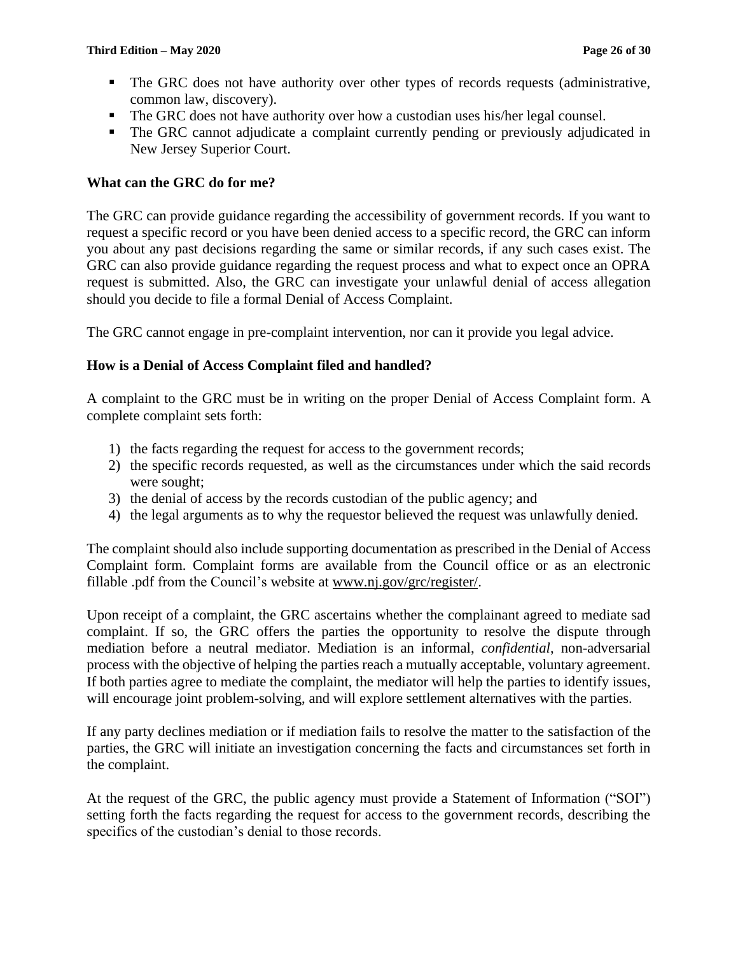- **•** The GRC does not have authority over other types of records requests (administrative, common law, discovery).
- The GRC does not have authority over how a custodian uses his/her legal counsel.
- The GRC cannot adjudicate a complaint currently pending or previously adjudicated in New Jersey Superior Court.

# **What can the GRC do for me?**

The GRC can provide guidance regarding the accessibility of government records. If you want to request a specific record or you have been denied access to a specific record, the GRC can inform you about any past decisions regarding the same or similar records, if any such cases exist. The GRC can also provide guidance regarding the request process and what to expect once an OPRA request is submitted. Also, the GRC can investigate your unlawful denial of access allegation should you decide to file a formal Denial of Access Complaint.

The GRC cannot engage in pre-complaint intervention, nor can it provide you legal advice.

# **How is a Denial of Access Complaint filed and handled?**

A complaint to the GRC must be in writing on the proper Denial of Access Complaint form. A complete complaint sets forth:

- 1) the facts regarding the request for access to the government records;
- 2) the specific records requested, as well as the circumstances under which the said records were sought;
- 3) the denial of access by the records custodian of the public agency; and
- 4) the legal arguments as to why the requestor believed the request was unlawfully denied.

The complaint should also include supporting documentation as prescribed in the Denial of Access Complaint form. Complaint forms are available from the Council office or as an electronic fillable .pdf from the Council's website at www.nj.gov/grc/register/.

Upon receipt of a complaint, the GRC ascertains whether the complainant agreed to mediate sad complaint. If so, the GRC offers the parties the opportunity to resolve the dispute through mediation before a neutral mediator. Mediation is an informal, *confidential*, non-adversarial process with the objective of helping the parties reach a mutually acceptable, voluntary agreement. If both parties agree to mediate the complaint, the mediator will help the parties to identify issues, will encourage joint problem-solving, and will explore settlement alternatives with the parties.

If any party declines mediation or if mediation fails to resolve the matter to the satisfaction of the parties, the GRC will initiate an investigation concerning the facts and circumstances set forth in the complaint.

At the request of the GRC, the public agency must provide a Statement of Information ("SOI") setting forth the facts regarding the request for access to the government records, describing the specifics of the custodian's denial to those records.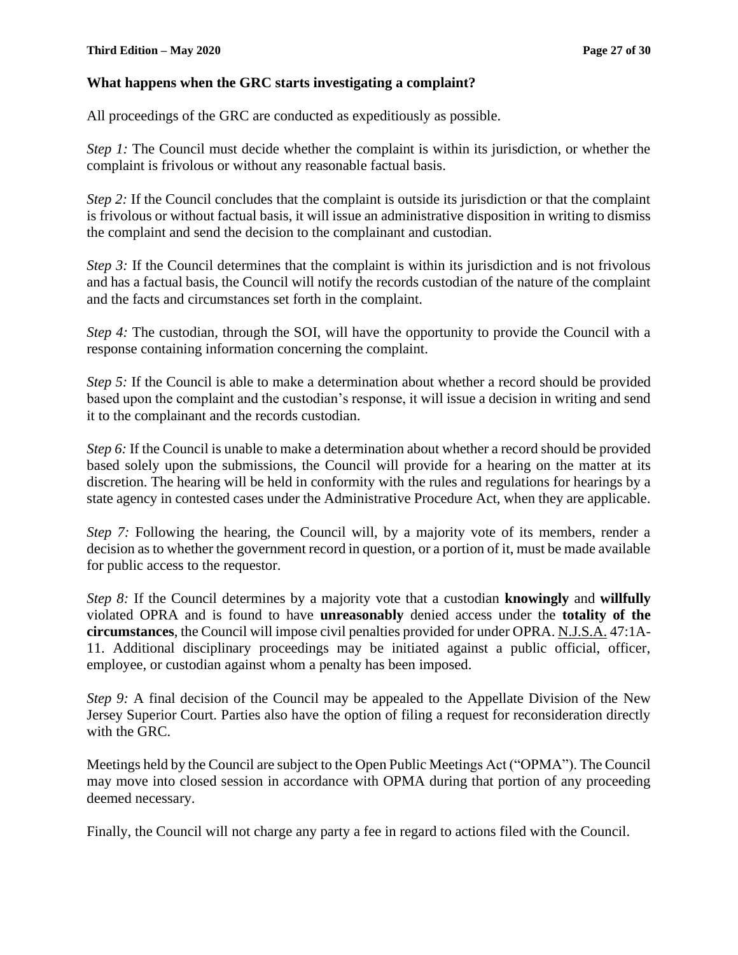#### **What happens when the GRC starts investigating a complaint?**

All proceedings of the GRC are conducted as expeditiously as possible.

*Step 1:* The Council must decide whether the complaint is within its jurisdiction, or whether the complaint is frivolous or without any reasonable factual basis.

*Step 2:* If the Council concludes that the complaint is outside its jurisdiction or that the complaint is frivolous or without factual basis, it will issue an administrative disposition in writing to dismiss the complaint and send the decision to the complainant and custodian.

*Step 3:* If the Council determines that the complaint is within its jurisdiction and is not frivolous and has a factual basis, the Council will notify the records custodian of the nature of the complaint and the facts and circumstances set forth in the complaint.

*Step 4:* The custodian, through the SOI, will have the opportunity to provide the Council with a response containing information concerning the complaint.

*Step 5:* If the Council is able to make a determination about whether a record should be provided based upon the complaint and the custodian's response, it will issue a decision in writing and send it to the complainant and the records custodian.

*Step 6:* If the Council is unable to make a determination about whether a record should be provided based solely upon the submissions, the Council will provide for a hearing on the matter at its discretion. The hearing will be held in conformity with the rules and regulations for hearings by a state agency in contested cases under the Administrative Procedure Act, when they are applicable.

*Step 7:* Following the hearing, the Council will, by a majority vote of its members, render a decision as to whether the government record in question, or a portion of it, must be made available for public access to the requestor.

*Step 8:* If the Council determines by a majority vote that a custodian **knowingly** and **willfully**  violated OPRA and is found to have **unreasonably** denied access under the **totality of the circumstances**, the Council will impose civil penalties provided for under OPRA. N.J.S.A. 47:1A-11. Additional disciplinary proceedings may be initiated against a public official, officer, employee, or custodian against whom a penalty has been imposed.

*Step 9:* A final decision of the Council may be appealed to the Appellate Division of the New Jersey Superior Court. Parties also have the option of filing a request for reconsideration directly with the GRC.

Meetings held by the Council are subject to the Open Public Meetings Act ("OPMA"). The Council may move into closed session in accordance with OPMA during that portion of any proceeding deemed necessary.

Finally, the Council will not charge any party a fee in regard to actions filed with the Council.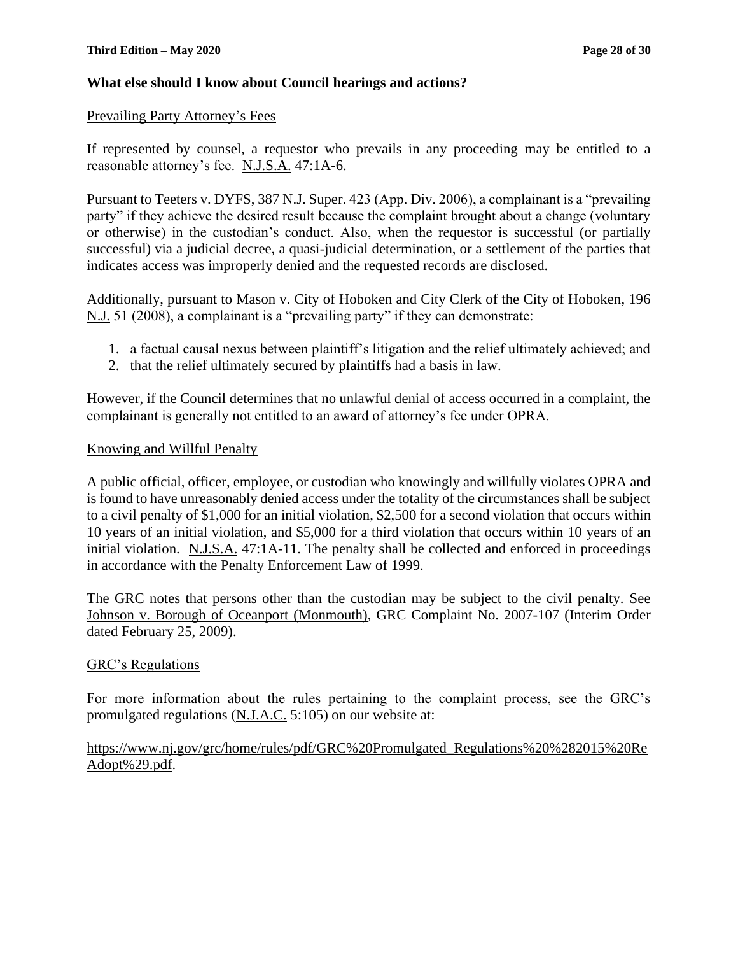#### **What else should I know about Council hearings and actions?**

#### Prevailing Party Attorney's Fees

If represented by counsel, a requestor who prevails in any proceeding may be entitled to a reasonable attorney's fee. N.J.S.A. 47:1A-6.

Pursuant to Teeters v. DYFS, 387 N.J. Super. 423 (App. Div. 2006), a complainant is a "prevailing party" if they achieve the desired result because the complaint brought about a change (voluntary or otherwise) in the custodian's conduct. Also, when the requestor is successful (or partially successful) via a judicial decree, a quasi-judicial determination, or a settlement of the parties that indicates access was improperly denied and the requested records are disclosed.

Additionally, pursuant to Mason v. City of Hoboken and City Clerk of the City of Hoboken, 196 N.J. 51 (2008), a complainant is a "prevailing party" if they can demonstrate:

- 1. a factual causal nexus between plaintiff's litigation and the relief ultimately achieved; and
- 2. that the relief ultimately secured by plaintiffs had a basis in law.

However, if the Council determines that no unlawful denial of access occurred in a complaint, the complainant is generally not entitled to an award of attorney's fee under OPRA.

#### Knowing and Willful Penalty

A public official, officer, employee, or custodian who knowingly and willfully violates OPRA and is found to have unreasonably denied access under the totality of the circumstances shall be subject to a civil penalty of \$1,000 for an initial violation, \$2,500 for a second violation that occurs within 10 years of an initial violation, and \$5,000 for a third violation that occurs within 10 years of an initial violation. N.J.S.A. 47:1A-11. The penalty shall be collected and enforced in proceedings in accordance with the Penalty Enforcement Law of 1999.

The GRC notes that persons other than the custodian may be subject to the civil penalty. See Johnson v. Borough of Oceanport (Monmouth), GRC Complaint No. 2007-107 (Interim Order dated February 25, 2009).

#### GRC's Regulations

For more information about the rules pertaining to the complaint process, see the GRC's promulgated regulations (N.J.A.C. 5:105) on our website at:

#### https://www.nj.gov/grc/home/rules/pdf/GRC%20Promulgated\_Regulations%20%282015%20Re Adopt%29.pdf.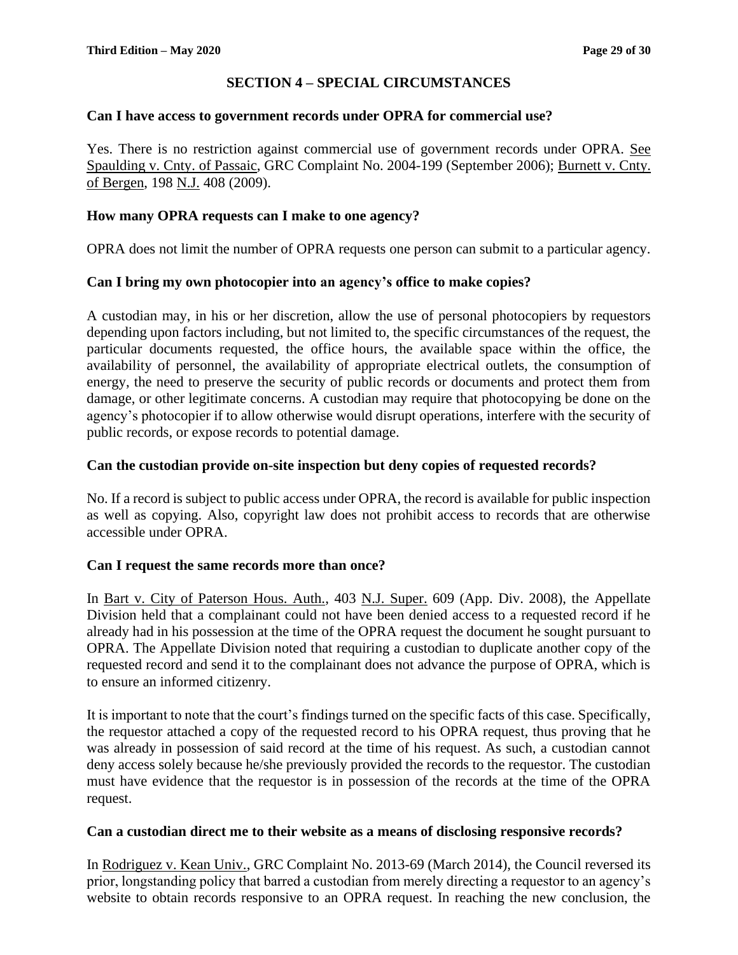# **SECTION 4 – SPECIAL CIRCUMSTANCES**

#### **Can I have access to government records under OPRA for commercial use?**

Yes. There is no restriction against commercial use of government records under OPRA. See Spaulding v. Cnty. of Passaic, GRC Complaint No. 2004-199 (September 2006); Burnett v. Cnty. of Bergen, 198 N.J. 408 (2009).

#### **How many OPRA requests can I make to one agency?**

OPRA does not limit the number of OPRA requests one person can submit to a particular agency.

#### **Can I bring my own photocopier into an agency's office to make copies?**

A custodian may, in his or her discretion, allow the use of personal photocopiers by requestors depending upon factors including, but not limited to, the specific circumstances of the request, the particular documents requested, the office hours, the available space within the office, the availability of personnel, the availability of appropriate electrical outlets, the consumption of energy, the need to preserve the security of public records or documents and protect them from damage, or other legitimate concerns. A custodian may require that photocopying be done on the agency's photocopier if to allow otherwise would disrupt operations, interfere with the security of public records, or expose records to potential damage.

#### **Can the custodian provide on-site inspection but deny copies of requested records?**

No. If a record is subject to public access under OPRA, the record is available for public inspection as well as copying. Also, copyright law does not prohibit access to records that are otherwise accessible under OPRA.

#### **Can I request the same records more than once?**

In Bart v. City of Paterson Hous. Auth., 403 N.J. Super. 609 (App. Div. 2008), the Appellate Division held that a complainant could not have been denied access to a requested record if he already had in his possession at the time of the OPRA request the document he sought pursuant to OPRA. The Appellate Division noted that requiring a custodian to duplicate another copy of the requested record and send it to the complainant does not advance the purpose of OPRA, which is to ensure an informed citizenry.

It is important to note that the court's findings turned on the specific facts of this case. Specifically, the requestor attached a copy of the requested record to his OPRA request, thus proving that he was already in possession of said record at the time of his request. As such, a custodian cannot deny access solely because he/she previously provided the records to the requestor. The custodian must have evidence that the requestor is in possession of the records at the time of the OPRA request.

#### **Can a custodian direct me to their website as a means of disclosing responsive records?**

In Rodriguez v. Kean Univ., GRC Complaint No. 2013-69 (March 2014), the Council reversed its prior, longstanding policy that barred a custodian from merely directing a requestor to an agency's website to obtain records responsive to an OPRA request. In reaching the new conclusion, the